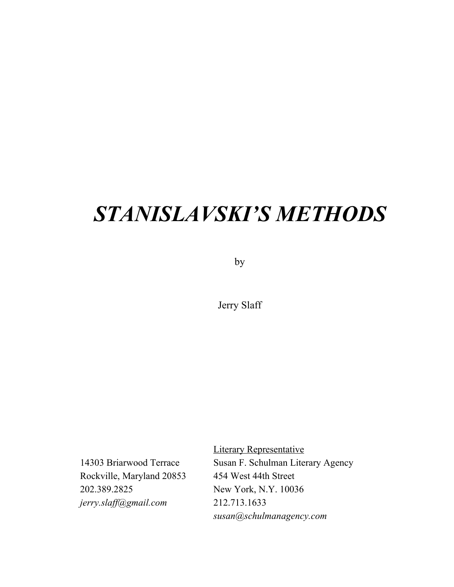# *STANISLAVSKI'S METHODS*

by

Jerry Slaff

Rockville, Maryland 20853 454 West 44th Street 202.389.2825 New York, N.Y. 10036 *jerry.slaf @gmail.com* 212.713.1633

Literary Representative 14303 Briarwood Terrace Susan F. Schulman Literary Agency *susan@schulmanagency.com*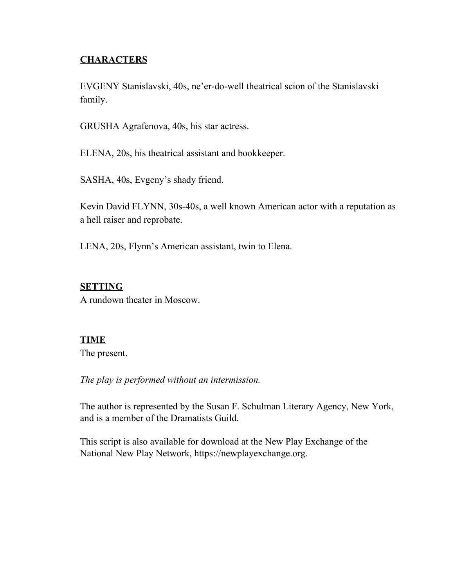## **CHARACTERS**

EVGENY Stanislavski, 40s, ne'er-do-well theatrical scion of the Stanislavski family.

GRUSHA Agrafenova, 40s, his star actress.

ELENA, 20s, his theatrical assistant and bookkeeper.

SASHA, 40s, Evgeny's shady friend.

Kevin David FLYNN, 30s-40s, a well known American actor with a reputation as a hell raiser and reprobate.

LENA, 20s, Flynn's American assistant, twin to Elena.

## **SETTING**

A rundown theater in Moscow.

## **TIME**

The present.

*The play is performed without an intermission.*

The author is represented by the Susan F. Schulman Literary Agency, New York, and is a member of the Dramatists Guild.

This script is also available for download at the New Play Exchange of the National New Play Network, https://newplayexchange.org.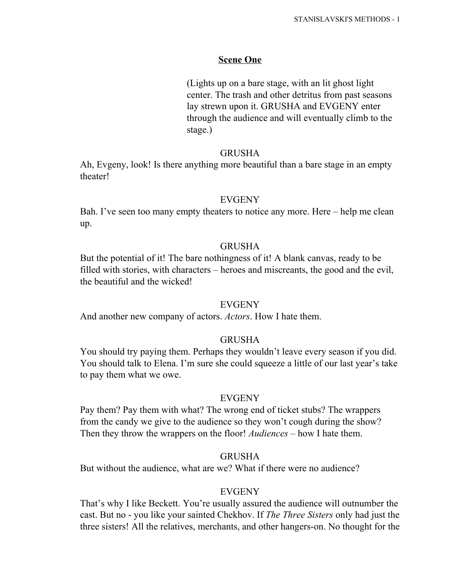#### **Scene One**

(Lights up on a bare stage, with an lit ghost light center. The trash and other detritus from past seasons lay strewn upon it. GRUSHA and EVGENY enter through the audience and will eventually climb to the stage.)

#### GRUSHA

Ah, Evgeny, look! Is there anything more beautiful than a bare stage in an empty theater!

#### EVGENY

Bah. I've seen too many empty theaters to notice any more. Here – help me clean up.

#### GRUSHA

But the potential of it! The bare nothingness of it! A blank canvas, ready to be filled with stories, with characters – heroes and miscreants, the good and the evil, the beautiful and the wicked!

#### EVGENY

And another new company of actors. *Actors*. How I hate them.

#### GRUSHA

You should try paying them. Perhaps they wouldn't leave every season if you did. You should talk to Elena. I'm sure she could squeeze a little of our last year's take to pay them what we owe.

#### EVGENY

Pay them? Pay them with what? The wrong end of ticket stubs? The wrappers from the candy we give to the audience so they won't cough during the show? Then they throw the wrappers on the floor! *Audiences* – how I hate them.

#### GRUSHA

But without the audience, what are we? What if there were no audience?

#### EVGENY

That's why I like Beckett. You're usually assured the audience will outnumber the cast. But no - you like your sainted Chekhov. If *The Three Sisters* only had just the three sisters! All the relatives, merchants, and other hangers-on. No thought for the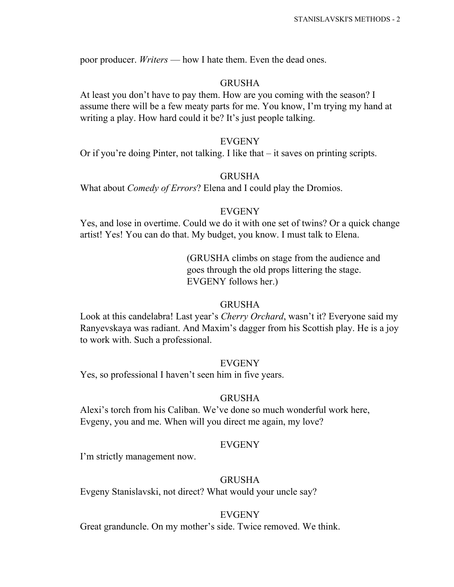poor producer. *Writers* — how I hate them. Even the dead ones.

## GRUSHA

At least you don't have to pay them. How are you coming with the season? I assume there will be a few meaty parts for me. You know, I'm trying my hand at writing a play. How hard could it be? It's just people talking.

## EVGENY

Or if you're doing Pinter, not talking. I like that – it saves on printing scripts.

## GRUSHA

What about *Comedy of Errors*? Elena and I could play the Dromios.

## EVGENY

Yes, and lose in overtime. Could we do it with one set of twins? Or a quick change artist! Yes! You can do that. My budget, you know. I must talk to Elena.

## (GRUSHA climbs on stage from the audience and goes through the old props littering the stage. EVGENY follows her.)

## GRUSHA

Look at this candelabra! Last year's *Cherry Orchard*, wasn't it? Everyone said my Ranyevskaya was radiant. And Maxim's dagger from his Scottish play. He is a joy to work with. Such a professional.

## EVGENY

Yes, so professional I haven't seen him in five years.

## GRUSHA

Alexi's torch from his Caliban. We've done so much wonderful work here, Evgeny, you and me. When will you direct me again, my love?

## EVGENY

I'm strictly management now.

## GRUSHA

Evgeny Stanislavski, not direct? What would your uncle say?

#### EVGENY

Great granduncle. On my mother's side. Twice removed. We think.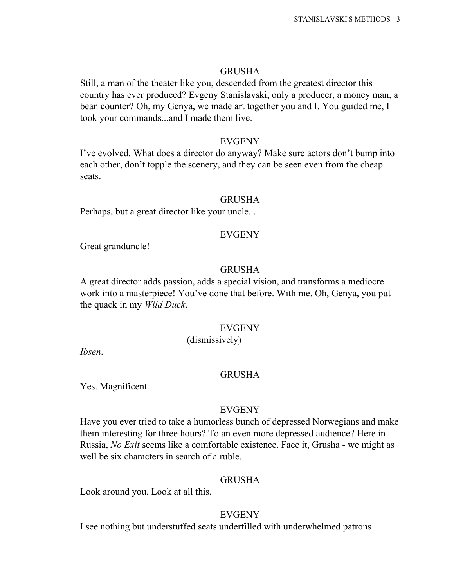#### GRUSHA

Still, a man of the theater like you, descended from the greatest director this country has ever produced? Evgeny Stanislavski, only a producer, a money man, a bean counter? Oh, my Genya, we made art together you and I. You guided me, I took your commands...and I made them live.

#### EVGENY

I've evolved. What does a director do anyway? Make sure actors don't bump into each other, don't topple the scenery, and they can be seen even from the cheap seats.

#### GRUSHA

Perhaps, but a great director like your uncle...

#### EVGENY

Great granduncle!

#### GRUSHA

A great director adds passion, adds a special vision, and transforms a mediocre work into a masterpiece! You've done that before. With me. Oh, Genya, you put the quack in my *Wild Duck*.

#### EVGENY

## (dismissively)

*Ibsen*.

#### GRUSHA

Yes. Magnificent.

#### EVGENY

Have you ever tried to take a humorless bunch of depressed Norwegians and make them interesting for three hours? To an even more depressed audience? Here in Russia, *No Exit* seems like a comfortable existence. Face it, Grusha - we might as well be six characters in search of a ruble.

#### GRUSHA

Look around you. Look at all this.

## EVGENY

I see nothing but understuffed seats underfilled with underwhelmed patrons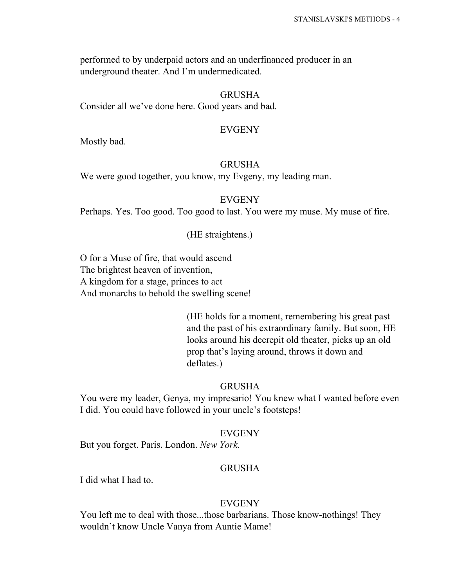performed to by underpaid actors and an underfinanced producer in an underground theater. And I'm undermedicated.

#### GRUSHA

Consider all we've done here. Good years and bad.

#### EVGENY

Mostly bad.

## GRUSHA

We were good together, you know, my Evgeny, my leading man.

#### EVGENY

Perhaps. Yes. Too good. Too good to last. You were my muse. My muse of fire.

#### (HE straightens.)

O for a Muse of fire, that would ascend The brightest heaven of invention, A kingdom for a stage, princes to act And monarchs to behold the swelling scene!

> (HE holds for a moment, remembering his great past and the past of his extraordinary family. But soon, HE looks around his decrepit old theater, picks up an old prop that's laying around, throws it down and deflates.)

#### GRUSHA

You were my leader, Genya, my impresario! You knew what I wanted before even I did. You could have followed in your uncle's footsteps!

#### EVGENY

But you forget. Paris. London. *New York.*

#### GRUSHA

I did what I had to.

#### EVGENY

You left me to deal with those...those barbarians. Those know-nothings! They wouldn't know Uncle Vanya from Auntie Mame!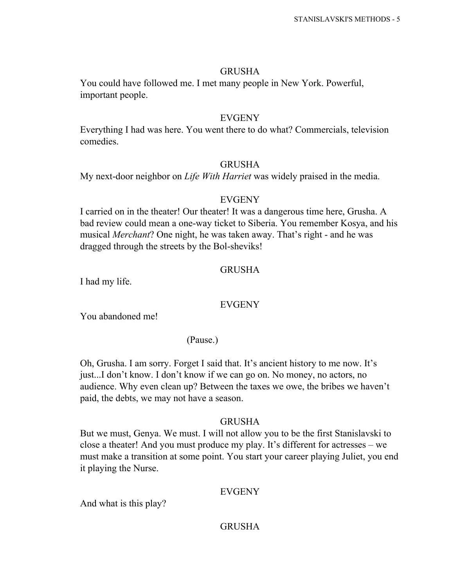## GRUSHA

You could have followed me. I met many people in New York. Powerful, important people.

## EVGENY

Everything I had was here. You went there to do what? Commercials, television comedies.

## GRUSHA

My next-door neighbor on *Life With Harriet* was widely praised in the media.

## EVGENY

I carried on in the theater! Our theater! It was a dangerous time here, Grusha. A bad review could mean a one-way ticket to Siberia. You remember Kosya, and his musical *Merchant*? One night, he was taken away. That's right - and he was dragged through the streets by the Bol-sheviks!

## GRUSHA

I had my life.

## EVGENY

You abandoned me!

## (Pause.)

Oh, Grusha. I am sorry. Forget I said that. It's ancient history to me now. It's just...I don't know. I don't know if we can go on. No money, no actors, no audience. Why even clean up? Between the taxes we owe, the bribes we haven't paid, the debts, we may not have a season.

## GRUSHA

But we must, Genya. We must. I will not allow you to be the first Stanislavski to close a theater! And you must produce my play. It's different for actresses – we must make a transition at some point. You start your career playing Juliet, you end it playing the Nurse.

## EVGENY

And what is this play?

## GRUSHA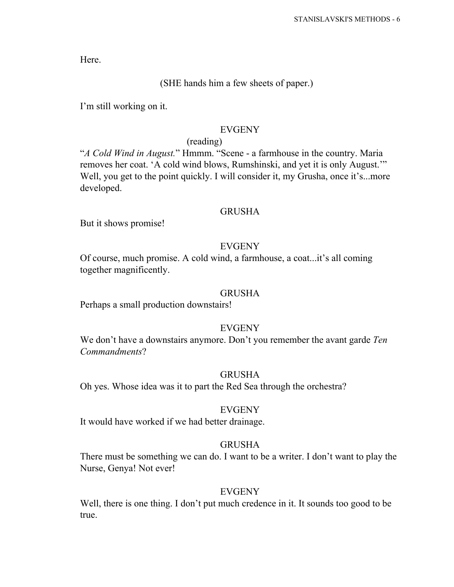Here.

## (SHE hands him a few sheets of paper.)

I'm still working on it.

## EVGENY

#### (reading)

"*A Cold Wind in August.*" Hmmm. "Scene - a farmhouse in the country. Maria removes her coat. 'A cold wind blows, Rumshinski, and yet it is only August.'" Well, you get to the point quickly. I will consider it, my Grusha, once it's...more developed.

#### GRUSHA

But it shows promise!

#### EVGENY

Of course, much promise. A cold wind, a farmhouse, a coat...it's all coming together magnificently.

#### GRUSHA

Perhaps a small production downstairs!

## **EVGENY**

We don't have a downstairs anymore. Don't you remember the avant garde *Ten Commandments*?

#### GRUSHA

Oh yes. Whose idea was it to part the Red Sea through the orchestra?

#### EVGENY

It would have worked if we had better drainage.

## GRUSHA

There must be something we can do. I want to be a writer. I don't want to play the Nurse, Genya! Not ever!

#### EVGENY

Well, there is one thing. I don't put much credence in it. It sounds too good to be true.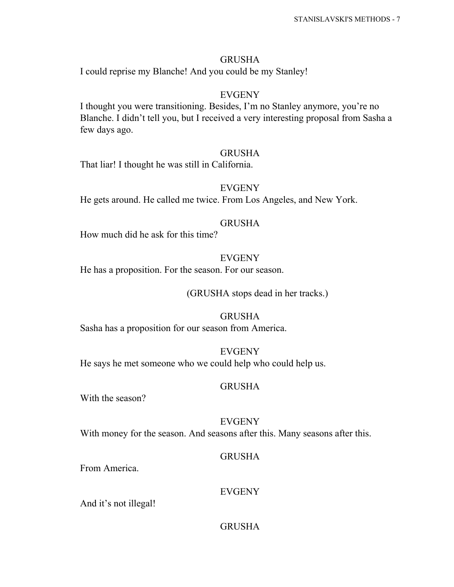## GRUSHA

I could reprise my Blanche! And you could be my Stanley!

## EVGENY

I thought you were transitioning. Besides, I'm no Stanley anymore, you're no Blanche. I didn't tell you, but I received a very interesting proposal from Sasha a few days ago.

## GRUSHA

That liar! I thought he was still in California.

## EVGENY

He gets around. He called me twice. From Los Angeles, and New York.

## GRUSHA

How much did he ask for this time?

## EVGENY

He has a proposition. For the season. For our season.

(GRUSHA stops dead in her tracks.)

## GRUSHA

Sasha has a proposition for our season from America.

## EVGENY

He says he met someone who we could help who could help us.

## GRUSHA

With the season?

EVGENY With money for the season. And seasons after this. Many seasons after this.

## GRUSHA

From America.

## EVGENY

And it's not illegal!

## GRUSHA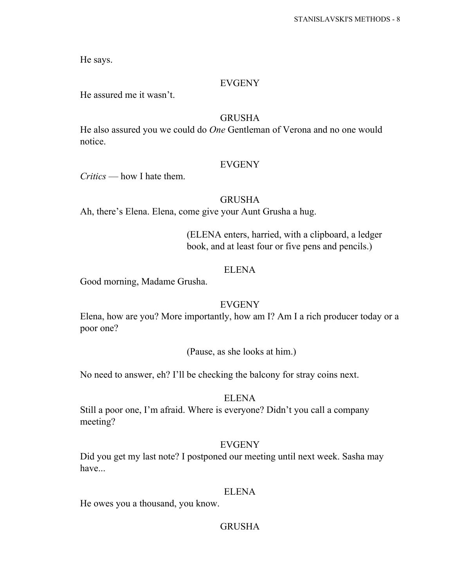He says.

#### EVGENY

He assured me it wasn't.

## GRUSHA

He also assured you we could do *One* Gentleman of Verona and no one would notice.

#### EVGENY

*Critics* — how I hate them.

## GRUSHA

Ah, there's Elena. Elena, come give your Aunt Grusha a hug.

(ELENA enters, harried, with a clipboard, a ledger book, and at least four or five pens and pencils.)

## ELENA

Good morning, Madame Grusha.

#### EVGENY

Elena, how are you? More importantly, how am I? Am I a rich producer today or a poor one?

(Pause, as she looks at him.)

No need to answer, eh? I'll be checking the balcony for stray coins next.

#### ELENA

Still a poor one, I'm afraid. Where is everyone? Didn't you call a company meeting?

#### EVGENY

Did you get my last note? I postponed our meeting until next week. Sasha may have...

#### ELENA

He owes you a thousand, you know.

#### GRUSHA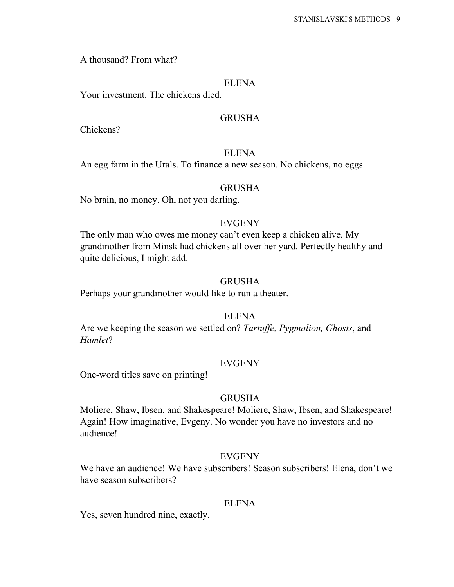A thousand? From what?

#### ELENA

Your investment. The chickens died.

#### GRUSHA

Chickens?

#### ELENA

An egg farm in the Urals. To finance a new season. No chickens, no eggs.

## GRUSHA

No brain, no money. Oh, not you darling.

## **EVGENY**

The only man who owes me money can't even keep a chicken alive. My grandmother from Minsk had chickens all over her yard. Perfectly healthy and quite delicious, I might add.

#### GRUSHA

Perhaps your grandmother would like to run a theater.

#### ELENA

Are we keeping the season we settled on? *Tartuffe, Pygmalion, Ghosts*, and *Hamlet*?

#### EVGENY

One-word titles save on printing!

#### GRUSHA

Moliere, Shaw, Ibsen, and Shakespeare! Moliere, Shaw, Ibsen, and Shakespeare! Again! How imaginative, Evgeny. No wonder you have no investors and no audience!

#### EVGENY

We have an audience! We have subscribers! Season subscribers! Elena, don't we have season subscribers?

#### ELENA

Yes, seven hundred nine, exactly.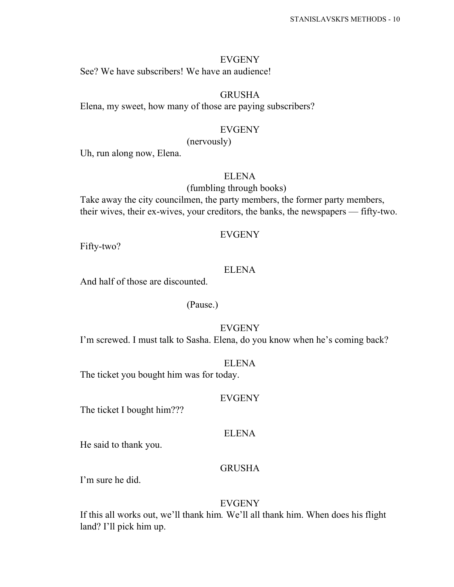#### EVGENY

See? We have subscribers! We have an audience!

## **GRUSHA**

Elena, my sweet, how many of those are paying subscribers?

#### EVGENY

(nervously)

Uh, run along now, Elena.

## ELENA

#### (fumbling through books)

Take away the city councilmen, the party members, the former party members, their wives, their ex-wives, your creditors, the banks, the newspapers — fifty-two.

#### EVGENY

Fifty-two?

## ELENA

And half of those are discounted.

#### (Pause.)

#### EVGENY

I'm screwed. I must talk to Sasha. Elena, do you know when he's coming back?

#### ELENA

The ticket you bought him was for today.

#### EVGENY

The ticket I bought him???

#### ELENA

He said to thank you.

#### **GRUSHA**

I'm sure he did.

#### EVGENY

If this all works out, we'll thank him*.* We'll all thank him. When does his flight land? I'll pick him up.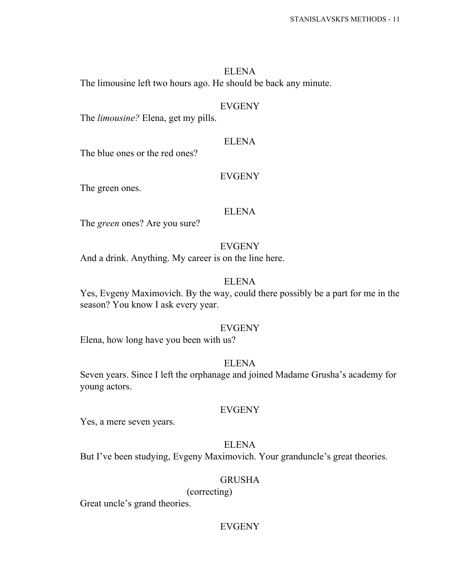## ELENA The limousine left two hours ago. He should be back any minute.

#### EVGENY

The *limousine?* Elena, get my pills.

#### ELENA

The blue ones or the red ones?

#### EVGENY

The green ones.

#### ELENA

The *green* ones? Are you sure?

## **EVGENY**

And a drink. Anything. My career is on the line here.

## ELENA

Yes, Evgeny Maximovich. By the way, could there possibly be a part for me in the season? You know I ask every year.

#### EVGENY

Elena, how long have you been with us?

#### ELENA

Seven years. Since I left the orphanage and joined Madame Grusha's academy for young actors.

#### EVGENY

Yes, a mere seven years.

## ELENA

But I've been studying, Evgeny Maximovich. Your granduncle's great theories.

#### GRUSHA

(correcting)

Great uncle's grand theories.

## EVGENY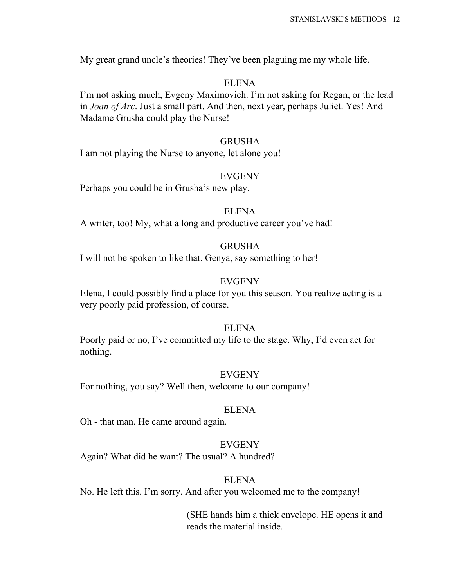My great grand uncle's theories! They've been plaguing me my whole life.

## ELENA

I'm not asking much, Evgeny Maximovich. I'm not asking for Regan, or the lead in *Joan of Arc*. Just a small part. And then, next year, perhaps Juliet. Yes! And Madame Grusha could play the Nurse!

## GRUSHA

I am not playing the Nurse to anyone, let alone you!

## EVGENY

Perhaps you could be in Grusha's new play.

## ELENA

A writer, too! My, what a long and productive career you've had!

## GRUSHA

I will not be spoken to like that. Genya, say something to her!

## **EVGENY**

Elena, I could possibly find a place for you this season. You realize acting is a very poorly paid profession, of course.

#### ELENA

Poorly paid or no, I've committed my life to the stage. Why, I'd even act for nothing.

## EVGENY

For nothing, you say? Well then, welcome to our company!

#### ELENA

Oh - that man. He came around again.

## EVGENY

Again? What did he want? The usual? A hundred?

## ELENA

No. He left this. I'm sorry. And after you welcomed me to the company!

(SHE hands him a thick envelope. HE opens it and reads the material inside.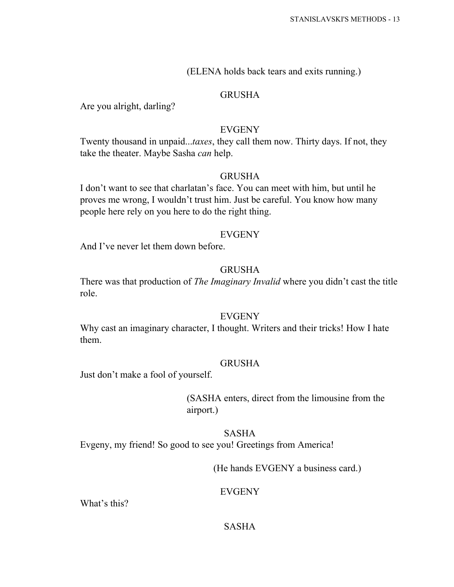## (ELENA holds back tears and exits running.)

## GRUSHA

Are you alright, darling?

## EVGENY

Twenty thousand in unpaid...*taxes*, they call them now. Thirty days. If not, they take the theater. Maybe Sasha *can* help.

## **GRUSHA**

I don't want to see that charlatan's face. You can meet with him, but until he proves me wrong, I wouldn't trust him. Just be careful. You know how many people here rely on you here to do the right thing.

## EVGENY

And I've never let them down before.

## GRUSHA

There was that production of *The Imaginary Invalid* where you didn't cast the title role.

## EVGENY

Why cast an imaginary character, I thought. Writers and their tricks! How I hate them.

## GRUSHA

Just don't make a fool of yourself.

(SASHA enters, direct from the limousine from the airport.)

SASHA Evgeny, my friend! So good to see you! Greetings from America!

(He hands EVGENY a business card.)

## EVGENY

What's this?

## SASHA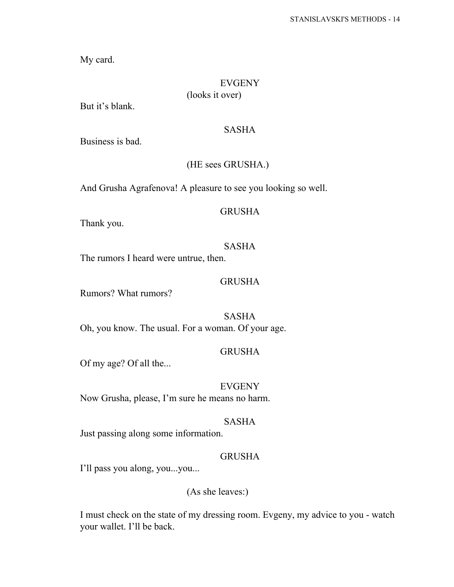My card.

## EVGENY (looks it over)

But it's blank.

#### SASHA

Business is bad.

## (HE sees GRUSHA.)

And Grusha Agrafenova! A pleasure to see you looking so well.

## GRUSHA

Thank you.

#### SASHA

The rumors I heard were untrue, then.

## GRUSHA

Rumors? What rumors?

SASHA Oh, you know. The usual. For a woman. Of your age.

## GRUSHA

Of my age? Of all the...

EVGENY Now Grusha, please, I'm sure he means no harm.

#### SASHA

Just passing along some information.

## GRUSHA

I'll pass you along, you...you...

(As she leaves:)

I must check on the state of my dressing room. Evgeny, my advice to you - watch your wallet. I'll be back.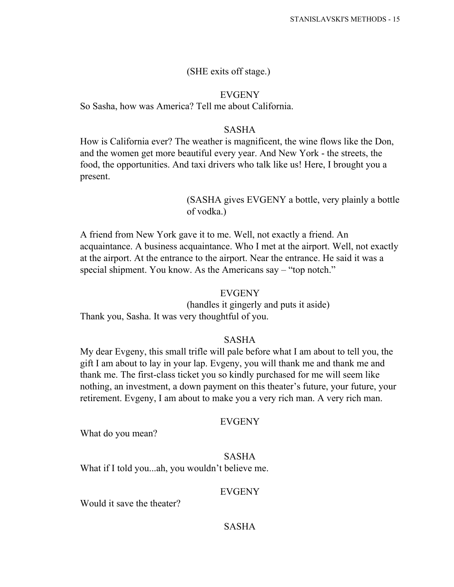#### (SHE exits off stage.)

#### EVGENY

So Sasha, how was America? Tell me about California.

#### SASHA

How is California ever? The weather is magnificent, the wine flows like the Don, and the women get more beautiful every year. And New York - the streets, the food, the opportunities. And taxi drivers who talk like us! Here, I brought you a present.

## (SASHA gives EVGENY a bottle, very plainly a bottle of vodka.)

A friend from New York gave it to me. Well, not exactly a friend. An acquaintance. A business acquaintance. Who I met at the airport. Well, not exactly at the airport. At the entrance to the airport. Near the entrance. He said it was a special shipment. You know. As the Americans say – "top notch."

#### EVGENY

(handles it gingerly and puts it aside) Thank you, Sasha. It was very thoughtful of you.

#### SASHA

My dear Evgeny, this small trifle will pale before what I am about to tell you, the gift I am about to lay in your lap. Evgeny, you will thank me and thank me and thank me. The first-class ticket you so kindly purchased for me will seem like nothing, an investment, a down payment on this theater's future, your future, your retirement. Evgeny, I am about to make you a very rich man. A very rich man.

#### EVGENY

What do you mean?

#### SASHA

What if I told you...ah, you wouldn't believe me.

#### EVGENY

Would it save the theater?

#### SASHA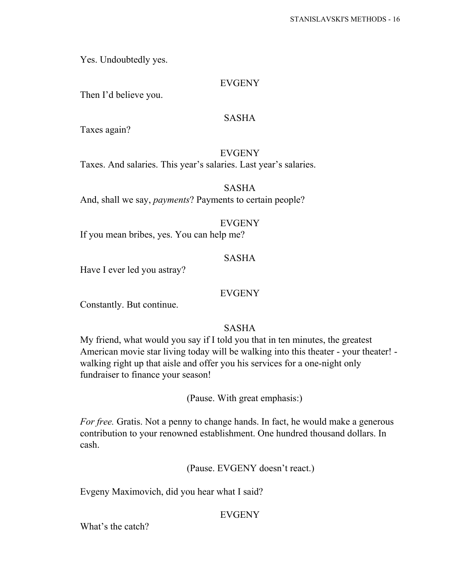Yes. Undoubtedly yes.

## EVGENY

Then I'd believe you.

## SASHA

Taxes again?

## EVGENY

Taxes. And salaries. This year's salaries. Last year's salaries.

SASHA

And, shall we say, *payments*? Payments to certain people?

## EVGENY

If you mean bribes, yes. You can help me?

## SASHA

Have I ever led you astray?

## EVGENY

Constantly. But continue.

## SASHA

My friend, what would you say if I told you that in ten minutes, the greatest American movie star living today will be walking into this theater - your theater! walking right up that aisle and offer you his services for a one-night only fundraiser to finance your season!

(Pause. With great emphasis:)

*For free.* Gratis. Not a penny to change hands. In fact, he would make a generous contribution to your renowned establishment. One hundred thousand dollars. In cash.

(Pause. EVGENY doesn't react.)

Evgeny Maximovich, did you hear what I said?

## EVGENY

What's the catch?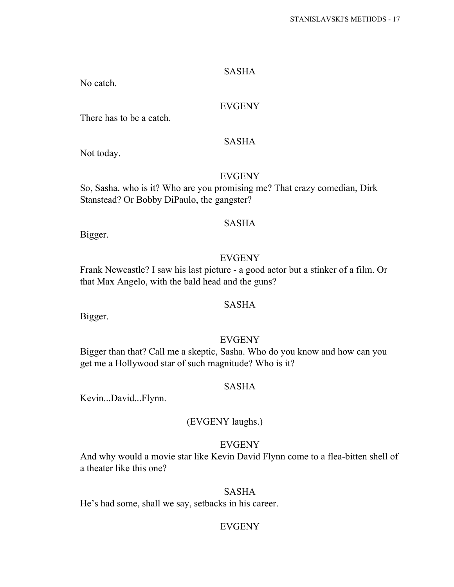#### SASHA

No catch.

## EVGENY

There has to be a catch.

Not today.

## **EVGENY**

SASHA

So, Sasha. who is it? Who are you promising me? That crazy comedian, Dirk Stanstead? Or Bobby DiPaulo, the gangster?

#### SASHA

Bigger.

## **EVGENY**

Frank Newcastle? I saw his last picture - a good actor but a stinker of a film. Or that Max Angelo, with the bald head and the guns?

#### SASHA

Bigger.

## EVGENY

Bigger than that? Call me a skeptic, Sasha. Who do you know and how can you get me a Hollywood star of such magnitude? Who is it?

#### SASHA

Kevin...David...Flynn.

## (EVGENY laughs.)

#### EVGENY

And why would a movie star like Kevin David Flynn come to a flea-bitten shell of a theater like this one?

#### SASHA

He's had some, shall we say, setbacks in his career.

## EVGENY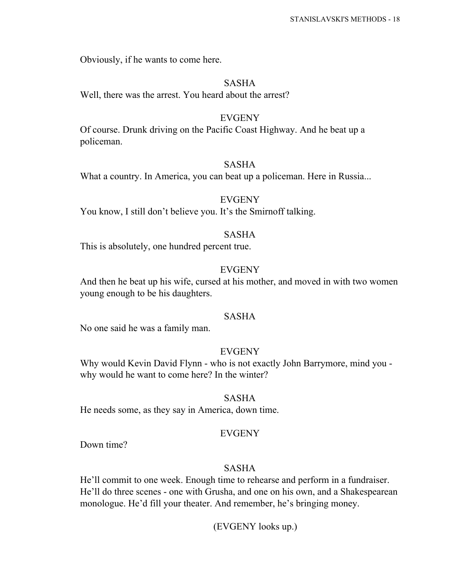Obviously, if he wants to come here.

#### SASHA

Well, there was the arrest. You heard about the arrest?

#### EVGENY

Of course. Drunk driving on the Pacific Coast Highway. And he beat up a policeman.

#### SASHA

What a country. In America, you can beat up a policeman. Here in Russia...

#### EVGENY

You know, I still don't believe you. It's the Smirnoff talking.

#### SASHA

This is absolutely, one hundred percent true.

## EVGENY

And then he beat up his wife, cursed at his mother, and moved in with two women young enough to be his daughters.

## SASHA

No one said he was a family man.

#### EVGENY

Why would Kevin David Flynn - who is not exactly John Barrymore, mind you why would he want to come here? In the winter?

#### SASHA

He needs some, as they say in America, down time.

#### EVGENY

Down time?

#### SASHA

He'll commit to one week. Enough time to rehearse and perform in a fundraiser. He'll do three scenes - one with Grusha, and one on his own, and a Shakespearean monologue. He'd fill your theater. And remember, he's bringing money.

(EVGENY looks up.)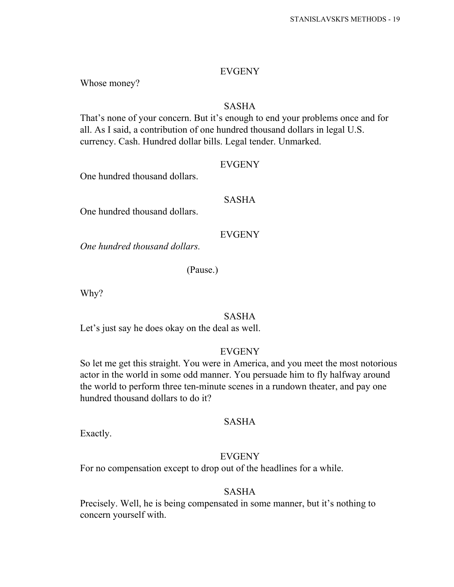#### EVGENY

Whose money?

## SASHA

That's none of your concern. But it's enough to end your problems once and for all. As I said, a contribution of one hundred thousand dollars in legal U.S. currency. Cash. Hundred dollar bills. Legal tender. Unmarked.

## **EVGENY**

One hundred thousand dollars.

## SASHA

One hundred thousand dollars.

## EVGENY

*One hundred thousand dollars.*

(Pause.)

Why?

## SASHA

Let's just say he does okay on the deal as well.

#### EVGENY

So let me get this straight. You were in America, and you meet the most notorious actor in the world in some odd manner. You persuade him to fly halfway around the world to perform three ten-minute scenes in a rundown theater, and pay one hundred thousand dollars to do it?

## SASHA

Exactly.

#### EVGENY

For no compensation except to drop out of the headlines for a while.

## SASHA

Precisely. Well, he is being compensated in some manner, but it's nothing to concern yourself with.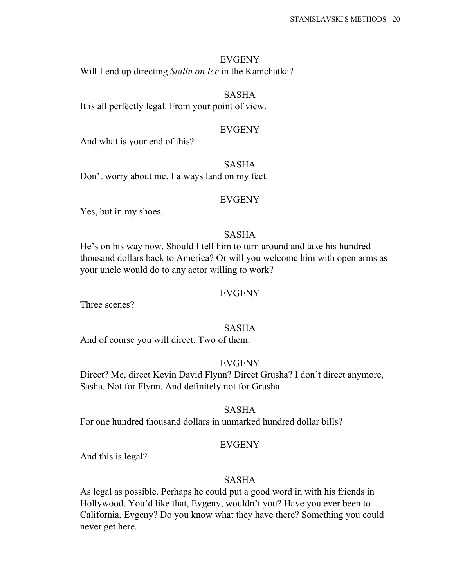EVGENY Will I end up directing *Stalin on Ice* in the Kamchatka?

SASHA It is all perfectly legal. From your point of view.

#### EVGENY

And what is your end of this?

SASHA Don't worry about me. I always land on my feet.

#### EVGENY

Yes, but in my shoes.

#### SASHA

He's on his way now. Should I tell him to turn around and take his hundred thousand dollars back to America? Or will you welcome him with open arms as your uncle would do to any actor willing to work?

#### EVGENY

Three scenes?

#### SASHA

And of course you will direct. Two of them.

## EVGENY

Direct? Me, direct Kevin David Flynn? Direct Grusha? I don't direct anymore, Sasha. Not for Flynn. And definitely not for Grusha.

#### SASHA

For one hundred thousand dollars in unmarked hundred dollar bills?

#### EVGENY

And this is legal?

#### SASHA

As legal as possible. Perhaps he could put a good word in with his friends in Hollywood. You'd like that, Evgeny, wouldn't you? Have you ever been to California, Evgeny? Do you know what they have there? Something you could never get here.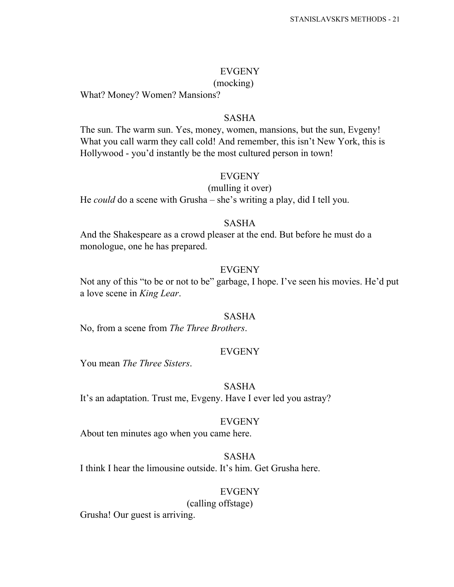#### EVGENY

#### (mocking)

What? Money? Women? Mansions?

#### SASHA

The sun. The warm sun. Yes, money, women, mansions, but the sun, Evgeny! What you call warm they call cold! And remember, this isn't New York, this is Hollywood - you'd instantly be the most cultured person in town!

#### EVGENY

#### (mulling it over)

He *could* do a scene with Grusha – she's writing a play, did I tell you.

## SASHA

And the Shakespeare as a crowd pleaser at the end. But before he must do a monologue, one he has prepared.

## EVGENY

Not any of this "to be or not to be" garbage, I hope. I've seen his movies. He'd put a love scene in *King Lear*.

#### SASHA

No, from a scene from *The Three Brothers*.

#### EVGENY

You mean *The Three Sisters*.

#### SASHA

It's an adaptation. Trust me, Evgeny. Have I ever led you astray?

#### EVGENY

About ten minutes ago when you came here.

## SASHA

I think I hear the limousine outside. It's him. Get Grusha here.

## EVGENY

(calling offstage)

Grusha! Our guest is arriving.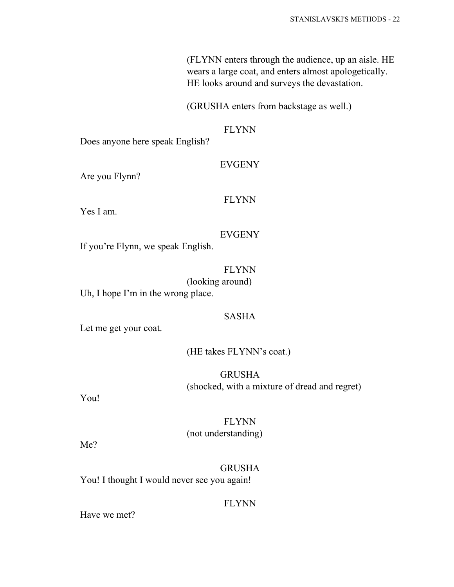(FLYNN enters through the audience, up an aisle. HE wears a large coat, and enters almost apologetically. HE looks around and surveys the devastation.

(GRUSHA enters from backstage as well.)

## FLYNN

Does anyone here speak English?

## EVGENY

Are you Flynn?

## FLYNN

Yes I am.

## EVGENY

If you're Flynn, we speak English.

## FLYNN

(looking around)

Uh, I hope I'm in the wrong place.

## SASHA

Let me get your coat.

## (HE takes FLYNN's coat.)

GRUSHA (shocked, with a mixture of dread and regret)

You!

## FLYNN (not understanding)

Me?

## GRUSHA

You! I thought I would never see you again!

## FLYNN

Have we met?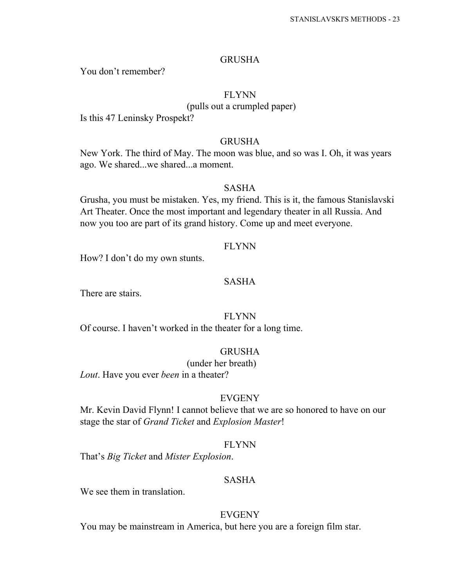#### GRUSHA

You don't remember?

#### FLYNN

(pulls out a crumpled paper)

Is this 47 Leninsky Prospekt?

#### GRUSHA

New York. The third of May. The moon was blue, and so was I. Oh, it was years ago. We shared...we shared...a moment.

#### SASHA

Grusha, you must be mistaken. Yes, my friend. This is it, the famous Stanislavski Art Theater. Once the most important and legendary theater in all Russia. And now you too are part of its grand history. Come up and meet everyone.

#### FLYNN

How? I don't do my own stunts.

## SASHA

There are stairs.

## FLYNN

Of course. I haven't worked in the theater for a long time.

## GRUSHA

(under her breath)

*Lout*. Have you ever *been* in a theater?

#### EVGENY

Mr. Kevin David Flynn! I cannot believe that we are so honored to have on our stage the star of *Grand Ticket* and *Explosion Master*!

## FLYNN

That's *Big Ticket* and *Mister Explosion*.

#### SASHA

We see them in translation.

#### EVGENY

You may be mainstream in America, but here you are a foreign film star.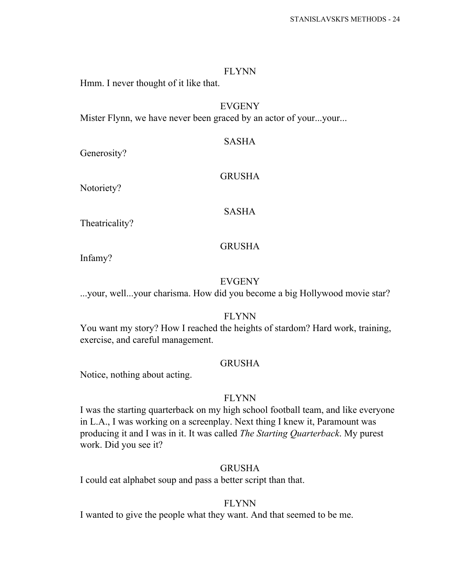Hmm. I never thought of it like that.

## EVGENY

Mister Flynn, we have never been graced by an actor of your...your...

#### SASHA

Generosity?

#### GRUSHA

Notoriety?

#### SASHA

Theatricality?

#### GRUSHA

Infamy?

## EVGENY

...your, well...your charisma. How did you become a big Hollywood movie star?

#### FLYNN

You want my story? How I reached the heights of stardom? Hard work, training, exercise, and careful management.

## GRUSHA

Notice, nothing about acting.

#### FLYNN

I was the starting quarterback on my high school football team, and like everyone in L.A., I was working on a screenplay. Next thing I knew it, Paramount was producing it and I was in it. It was called *The Starting Quarterback*. My purest work. Did you see it?

#### GRUSHA

I could eat alphabet soup and pass a better script than that.

#### FLYNN

I wanted to give the people what they want. And that seemed to be me.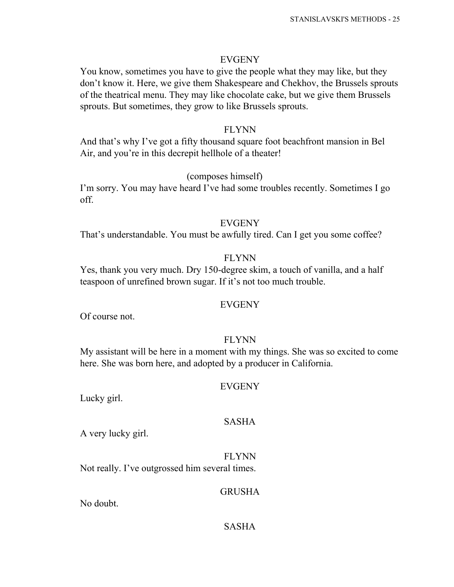#### EVGENY

You know, sometimes you have to give the people what they may like, but they don't know it. Here, we give them Shakespeare and Chekhov, the Brussels sprouts of the theatrical menu. They may like chocolate cake, but we give them Brussels sprouts. But sometimes, they grow to like Brussels sprouts.

#### FLYNN

And that's why I've got a fifty thousand square foot beachfront mansion in Bel Air, and you're in this decrepit hellhole of a theater!

#### (composes himself)

I'm sorry. You may have heard I've had some troubles recently. Sometimes I go off.

#### EVGENY

That's understandable. You must be awfully tired. Can I get you some coffee?

#### FLYNN

Yes, thank you very much. Dry 150-degree skim, a touch of vanilla, and a half teaspoon of unrefined brown sugar. If it's not too much trouble.

#### EVGENY

Of course not.

#### FLYNN

My assistant will be here in a moment with my things. She was so excited to come here. She was born here, and adopted by a producer in California.

#### EVGENY

Lucky girl.

#### SASHA

A very lucky girl.

FLYNN Not really. I've outgrossed him several times.

#### GRUSHA

No doubt.

#### SASHA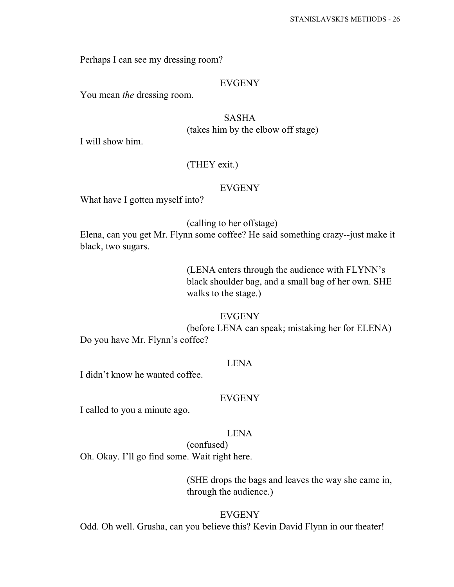Perhaps I can see my dressing room?

#### EVGENY

You mean *the* dressing room.

## SASHA (takes him by the elbow off stage)

I will show him.

## (THEY exit.)

#### EVGENY

What have I gotten myself into?

(calling to her offstage)

Elena, can you get Mr. Flynn some coffee? He said something crazy--just make it black, two sugars.

> (LENA enters through the audience with FLYNN's black shoulder bag, and a small bag of her own. SHE walks to the stage.)

#### EVGENY

(before LENA can speak; mistaking her for ELENA) Do you have Mr. Flynn's coffee?

## LENA

I didn't know he wanted coffee.

#### EVGENY

I called to you a minute ago.

#### LENA

(confused) Oh. Okay. I'll go find some. Wait right here.

> (SHE drops the bags and leaves the way she came in, through the audience.)

#### EVGENY

Odd. Oh well. Grusha, can you believe this? Kevin David Flynn in our theater!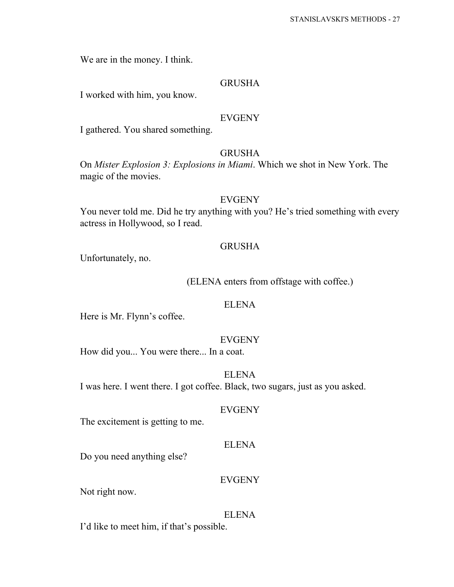We are in the money. I think.

## GRUSHA

I worked with him, you know.

#### EVGENY

I gathered. You shared something.

## GRUSHA

On *Mister Explosion 3: Explosions in Miami*. Which we shot in New York. The magic of the movies.

#### EVGENY

You never told me. Did he try anything with you? He's tried something with every actress in Hollywood, so I read.

## GRUSHA

Unfortunately, no.

(ELENA enters from offstage with coffee.)

#### ELENA

Here is Mr. Flynn's coffee.

#### EVGENY

How did you... You were there... In a coat.

ELENA I was here. I went there. I got coffee. Black, two sugars, just as you asked.

#### EVGENY

The excitement is getting to me.

#### ELENA

Do you need anything else?

#### EVGENY

Not right now.

#### ELENA

I'd like to meet him, if that's possible.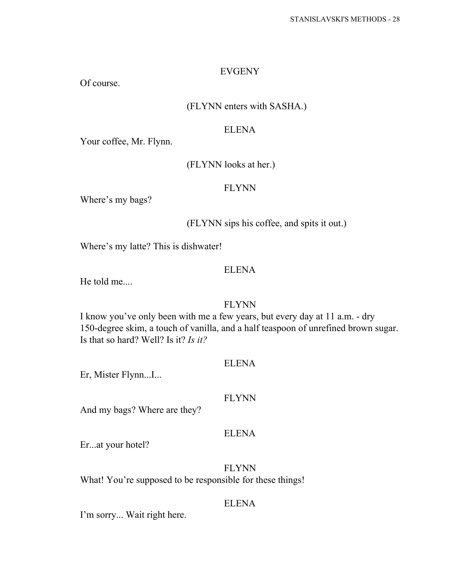#### EVGENY

Of course.

## (FLYNN enters with SASHA.)

## ELENA

Your coffee, Mr. Flynn.

## (FLYNN looks at her.)

## FLYNN

Where's my bags?

## (FLYNN sips his coffee, and spits it out.)

Where's my latte? This is dishwater!

## ELENA

He told me....

## FLYNN

I know you've only been with me a few years, but every day at 11 a.m. - dry 150-degree skim, a touch of vanilla, and a half teaspoon of unrefined brown sugar. Is that so hard? Well? Is it? *Is it?*

## ELENA

Er, Mister Flynn...I...

#### FLYNN

And my bags? Where are they?

#### ELENA

Er...at your hotel?

FLYNN What! You're supposed to be responsible for these things!

#### ELENA

I'm sorry... Wait right here.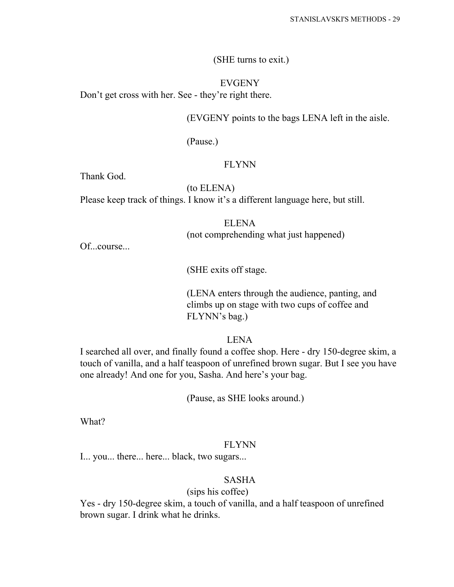(SHE turns to exit.)

EVGENY Don't get cross with her. See - they're right there.

(EVGENY points to the bags LENA left in the aisle.

(Pause.)

## FLYNN

Thank God.

(to ELENA)

Please keep track of things. I know it's a different language here, but still.

ELENA (not comprehending what just happened)

Of...course...

(SHE exits off stage.

(LENA enters through the audience, panting, and climbs up on stage with two cups of coffee and FLYNN's bag.)

LENA

I searched all over, and finally found a coffee shop. Here - dry 150-degree skim, a touch of vanilla, and a half teaspoon of unrefined brown sugar. But I see you have one already! And one for you, Sasha. And here's your bag.

(Pause, as SHE looks around.)

What?

#### FLYNN

I... you... there... here... black, two sugars...

## SASHA

## (sips his coffee)

Yes - dry 150-degree skim, a touch of vanilla, and a half teaspoon of unrefined brown sugar. I drink what he drinks.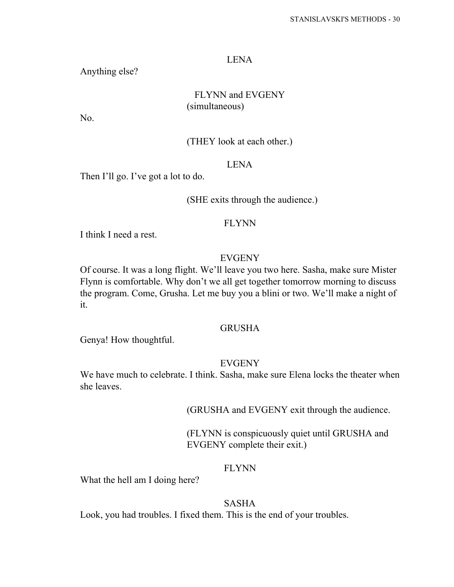#### LENA

Anything else?

## FLYNN and EVGENY (simultaneous)

No.

## (THEY look at each other.)

## LENA

Then I'll go. I've got a lot to do.

#### (SHE exits through the audience.)

#### FLYNN

I think I need a rest.

## **EVGENY**

Of course. It was a long flight. We'll leave you two here. Sasha, make sure Mister Flynn is comfortable. Why don't we all get together tomorrow morning to discuss the program. Come, Grusha. Let me buy you a blini or two. We'll make a night of it.

## GRUSHA

Genya! How thoughtful.

## EVGENY

We have much to celebrate. I think. Sasha, make sure Elena locks the theater when she leaves.

(GRUSHA and EVGENY exit through the audience.

(FLYNN is conspicuously quiet until GRUSHA and EVGENY complete their exit.)

#### FLYNN

What the hell am I doing here?

## SASHA

Look, you had troubles. I fixed them. This is the end of your troubles.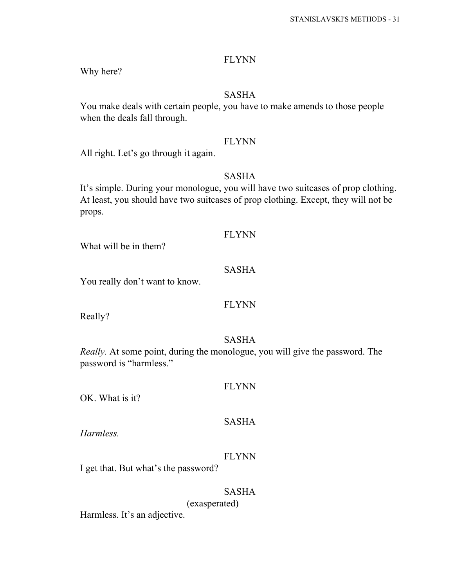Why here?

## SASHA

You make deals with certain people, you have to make amends to those people when the deals fall through.

#### FLYNN

All right. Let's go through it again.

## SASHA

It's simple. During your monologue, you will have two suitcases of prop clothing. At least, you should have two suitcases of prop clothing. Except, they will not be props.

## FLYNN

What will be in them?

## SASHA

You really don't want to know.

## FLYNN

Really?

#### SASHA

*Really.* At some point, during the monologue, you will give the password. The password is "harmless."

#### FLYNN

OK. What is it?

## SASHA

*Harmless.*

## FLYNN

I get that. But what's the password?

## SASHA

(exasperated)

Harmless. It's an adjective.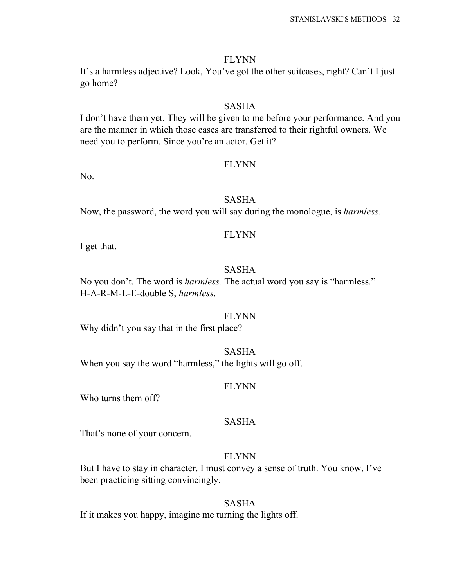It's a harmless adjective? Look, You've got the other suitcases, right? Can't I just go home?

#### SASHA

I don't have them yet. They will be given to me before your performance. And you are the manner in which those cases are transferred to their rightful owners. We need you to perform. Since you're an actor. Get it?

#### FLYNN

No.

## SASHA

Now, the password, the word you will say during the monologue, is *harmless.*

#### FLYNN

I get that.

## SASHA

No you don't. The word is *harmless.* The actual word you say is "harmless." H-A-R-M-L-E-double S, *harmless*.

#### FLYNN

Why didn't you say that in the first place?

#### SASHA

When you say the word "harmless," the lights will go off.

#### FLYNN

Who turns them off?

#### SASHA

That's none of your concern.

#### FLYNN

But I have to stay in character. I must convey a sense of truth. You know, I've been practicing sitting convincingly.

#### SASHA

If it makes you happy, imagine me turning the lights off.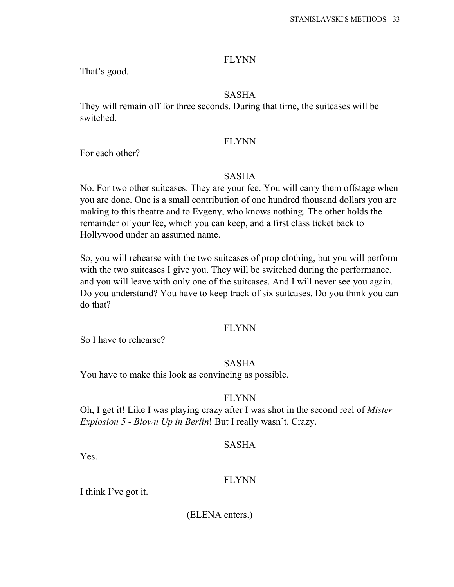That's good.

## SASHA

They will remain off for three seconds. During that time, the suitcases will be switched.

#### FLYNN

For each other?

#### SASHA

No. For two other suitcases. They are your fee. You will carry them offstage when you are done. One is a small contribution of one hundred thousand dollars you are making to this theatre and to Evgeny, who knows nothing. The other holds the remainder of your fee, which you can keep, and a first class ticket back to Hollywood under an assumed name.

So, you will rehearse with the two suitcases of prop clothing, but you will perform with the two suitcases I give you. They will be switched during the performance, and you will leave with only one of the suitcases. And I will never see you again. Do you understand? You have to keep track of six suitcases. Do you think you can do that?

#### FLYNN

So I have to rehearse?

#### SASHA

You have to make this look as convincing as possible.

#### FLYNN

Oh, I get it! Like I was playing crazy after I was shot in the second reel of *Mister Explosion 5 - Blown Up in Berlin*! But I really wasn't. Crazy.

#### SASHA

Yes.

#### FLYNN

I think I've got it.

(ELENA enters.)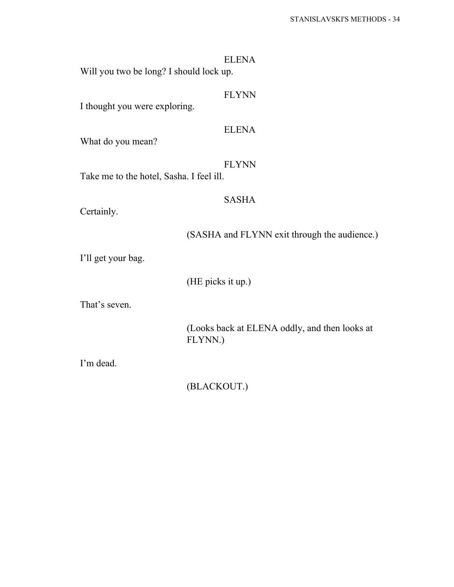| <b>ELENA</b><br>Will you two be long? I should lock up.  |  |
|----------------------------------------------------------|--|
| <b>FLYNN</b><br>I thought you were exploring.            |  |
| <b>ELENA</b><br>What do you mean?                        |  |
| <b>FLYNN</b><br>Take me to the hotel, Sasha. I feel ill. |  |
| <b>SASHA</b><br>Certainly.                               |  |
| (SASHA and FLYNN exit through the audience.)             |  |
| I'll get your bag.                                       |  |
| (HE picks it up.)                                        |  |
| That's seven.                                            |  |
| (Looks back at ELENA oddly, and then looks at<br>FLYNN.) |  |

I'm dead.

(BLACKOUT.)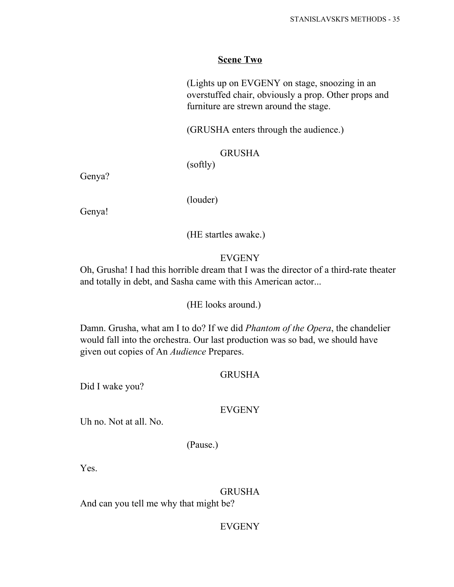## **Scene Two**

(Lights up on EVGENY on stage, snoozing in an overstuffed chair, obviously a prop. Other props and furniture are strewn around the stage.

(GRUSHA enters through the audience.)

## GRUSHA

(softly)

Genya?

(louder)

Genya!

(HE startles awake.)

## **EVGENY**

Oh, Grusha! I had this horrible dream that I was the director of a third-rate theater and totally in debt, and Sasha came with this American actor...

#### (HE looks around.)

Damn. Grusha, what am I to do? If we did *Phantom of the Opera*, the chandelier would fall into the orchestra. Our last production was so bad, we should have given out copies of An *Audience* Prepares.

### GRUSHA

Did I wake you?

#### EVGENY

Uh no. Not at all. No.

(Pause.)

Yes.

#### GRUSHA

And can you tell me why that might be?

## EVGENY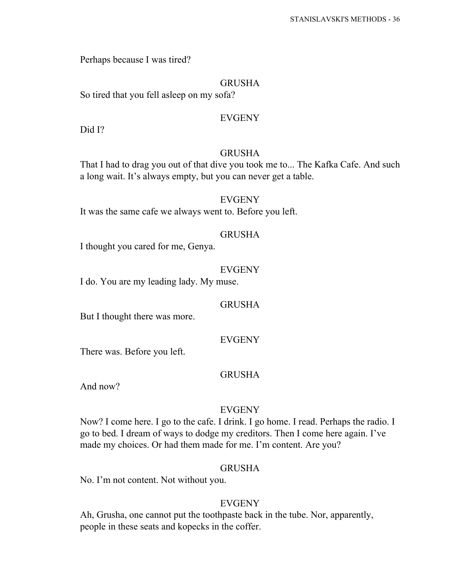Perhaps because I was tired?

## GRUSHA

So tired that you fell asleep on my sofa?

## EVGENY

Did I?

#### GRUSHA

That I had to drag you out of that dive you took me to... The Kafka Cafe. And such a long wait. It's always empty, but you can never get a table.

## EVGENY

It was the same cafe we always went to. Before you left.

## GRUSHA

I thought you cared for me, Genya.

#### EVGENY

I do. You are my leading lady. My muse.

#### GRUSHA

But I thought there was more.

## EVGENY

There was. Before you left.

## GRUSHA

And now?

#### EVGENY

Now? I come here. I go to the cafe. I drink. I go home. I read. Perhaps the radio. I go to bed. I dream of ways to dodge my creditors. Then I come here again. I've made my choices. Or had them made for me. I'm content. Are you?

#### GRUSHA

No. I'm not content. Not without you.

## EVGENY

Ah, Grusha, one cannot put the toothpaste back in the tube. Nor, apparently, people in these seats and kopecks in the coffer.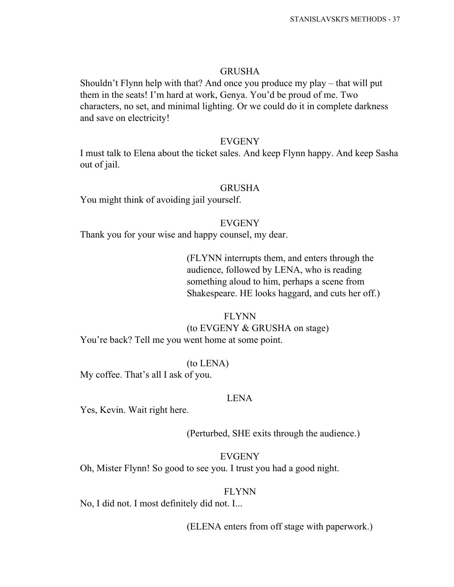### GRUSHA

Shouldn't Flynn help with that? And once you produce my play – that will put them in the seats! I'm hard at work, Genya. You'd be proud of me. Two characters, no set, and minimal lighting. Or we could do it in complete darkness and save on electricity!

### EVGENY

I must talk to Elena about the ticket sales. And keep Flynn happy. And keep Sasha out of jail.

## GRUSHA

You might think of avoiding jail yourself.

### EVGENY

Thank you for your wise and happy counsel, my dear.

(FLYNN interrupts them, and enters through the audience, followed by LENA, who is reading something aloud to him, perhaps a scene from Shakespeare. HE looks haggard, and cuts her off.)

#### FLYNN

### (to EVGENY & GRUSHA on stage)

You're back? Tell me you went home at some point.

### (to LENA)

My coffee. That's all I ask of you.

#### LENA

Yes, Kevin. Wait right here.

(Perturbed, SHE exits through the audience.)

## EVGENY

Oh, Mister Flynn! So good to see you. I trust you had a good night.

### FLYNN

No, I did not. I most definitely did not. I...

(ELENA enters from off stage with paperwork.)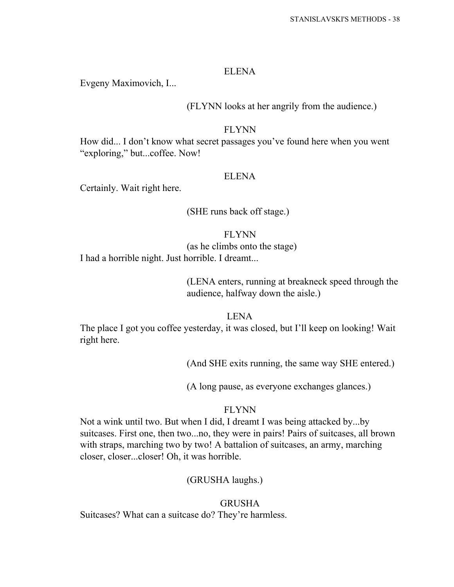#### ELENA

Evgeny Maximovich, I...

## (FLYNN looks at her angrily from the audience.)

## FLYNN

How did... I don't know what secret passages you've found here when you went "exploring," but...coffee. Now!

## ELENA

Certainly. Wait right here.

## (SHE runs back off stage.)

## FLYNN

(as he climbs onto the stage)

I had a horrible night. Just horrible. I dreamt...

# (LENA enters, running at breakneck speed through the audience, halfway down the aisle.)

## LENA

The place I got you coffee yesterday, it was closed, but I'll keep on looking! Wait right here.

(And SHE exits running, the same way SHE entered.)

(A long pause, as everyone exchanges glances.)

## FLYNN

Not a wink until two. But when I did, I dreamt I was being attacked by...by suitcases. First one, then two...no, they were in pairs! Pairs of suitcases, all brown with straps, marching two by two! A battalion of suitcases, an army, marching closer, closer...closer! Oh, it was horrible.

# (GRUSHA laughs.)

# **GRUSHA**

Suitcases? What can a suitcase do? They're harmless.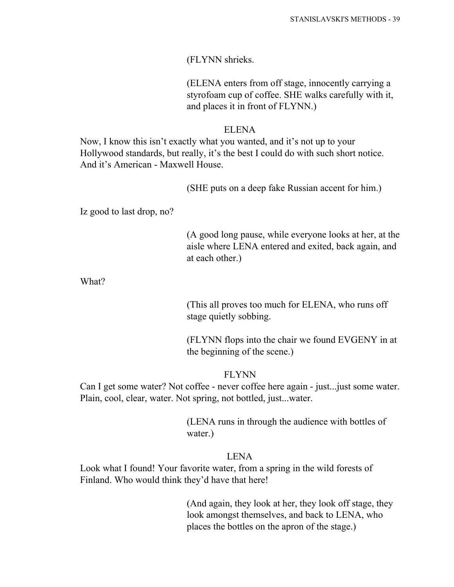(FLYNN shrieks.

(ELENA enters from off stage, innocently carrying a styrofoam cup of coffee. SHE walks carefully with it, and places it in front of FLYNN.)

## ELENA

Now, I know this isn't exactly what you wanted, and it's not up to your Hollywood standards, but really, it's the best I could do with such short notice. And it's American - Maxwell House.

(SHE puts on a deep fake Russian accent for him.)

Iz good to last drop, no?

(A good long pause, while everyone looks at her, at the aisle where LENA entered and exited, back again, and at each other.)

What?

(This all proves too much for ELENA, who runs off stage quietly sobbing.

(FLYNN flops into the chair we found EVGENY in at the beginning of the scene.)

## FLYNN

Can I get some water? Not coffee - never coffee here again - just...just some water. Plain, cool, clear, water. Not spring, not bottled, just...water.

> (LENA runs in through the audience with bottles of water.)

## LENA

Look what I found! Your favorite water, from a spring in the wild forests of Finland. Who would think they'd have that here!

> (And again, they look at her, they look off stage, they look amongst themselves, and back to LENA, who places the bottles on the apron of the stage.)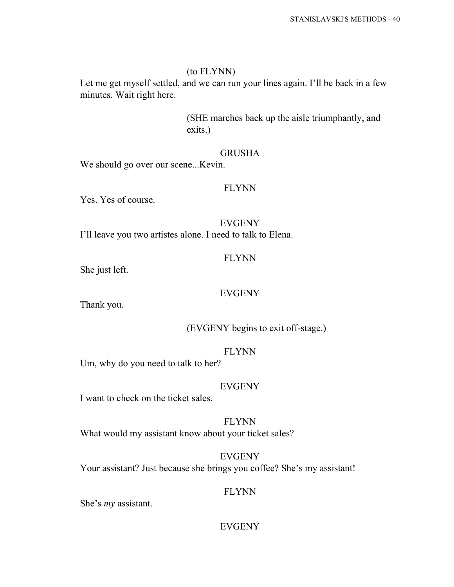## (to FLYNN)

Let me get myself settled, and we can run your lines again. I'll be back in a few minutes. Wait right here.

> (SHE marches back up the aisle triumphantly, and exits.)

## GRUSHA

We should go over our scene...Kevin.

## FLYNN

Yes. Yes of course.

EVGENY I'll leave you two artistes alone. I need to talk to Elena.

## FLYNN

She just left.

## EVGENY

Thank you.

(EVGENY begins to exit off-stage.)

## FLYNN

Um, why do you need to talk to her?

## EVGENY

I want to check on the ticket sales.

FLYNN What would my assistant know about your ticket sales?

EVGENY Your assistant? Just because she brings you coffee? She's my assistant!

## FLYNN

She's *my* assistant.

## EVGENY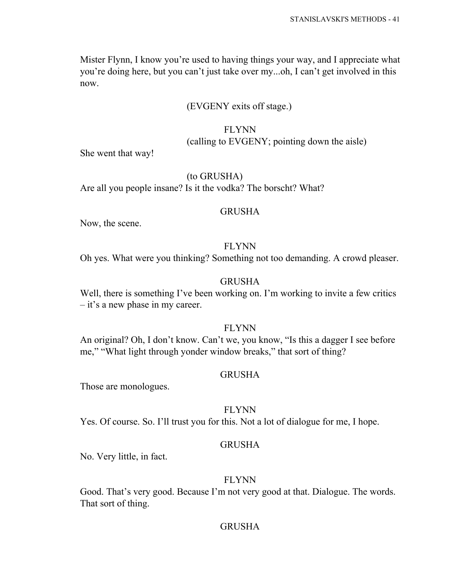Mister Flynn, I know you're used to having things your way, and I appreciate what you're doing here, but you can't just take over my...oh, I can't get involved in this now.

## (EVGENY exits off stage.)

# FLYNN (calling to EVGENY; pointing down the aisle)

She went that way!

## (to GRUSHA)

Are all you people insane? Is it the vodka? The borscht? What?

## GRUSHA

Now, the scene.

## FLYNN

Oh yes. What were you thinking? Something not too demanding. A crowd pleaser.

# GRUSHA

Well, there is something I've been working on. I'm working to invite a few critics – it's a new phase in my career.

## FLYNN

An original? Oh, I don't know. Can't we, you know, "Is this a dagger I see before me," "What light through yonder window breaks," that sort of thing?

## GRUSHA

Those are monologues.

## FLYNN

Yes. Of course. So. I'll trust you for this. Not a lot of dialogue for me, I hope.

## GRUSHA

No. Very little, in fact.

## FLYNN

Good. That's very good. Because I'm not very good at that. Dialogue. The words. That sort of thing.

## **GRUSHA**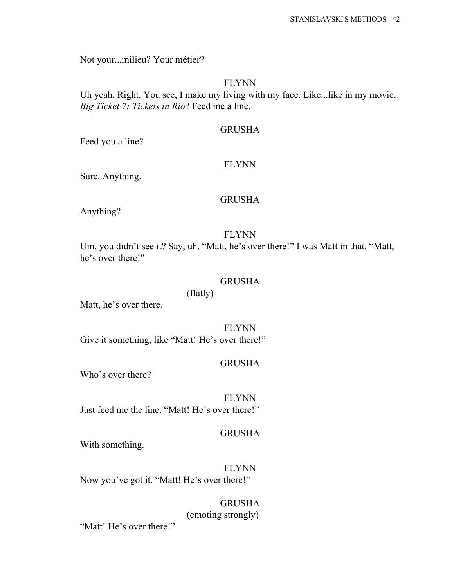Not your...milieu? Your métier?

## FLYNN

Uh yeah. Right. You see, I make my living with my face. Like...like in my movie, *Big Ticket 7: Tickets in Rio*? Feed me a line.

## GRUSHA

Feed you a line?

### FLYNN

Sure. Anything.

## GRUSHA

Anything?

## FLYNN

Um, you didn't see it? Say, uh, "Matt, he's over there!" I was Matt in that. "Matt, he's over there!"

## GRUSHA

# (flatly)

Matt, he's over there.

FLYNN Give it something, like "Matt! He's over there!"

## GRUSHA

Who's over there?

FLYNN Just feed me the line. "Matt! He's over there!"

### GRUSHA

With something.

FLYNN Now you've got it. "Matt! He's over there!"

> GRUSHA (emoting strongly)

"Matt! He's over there!"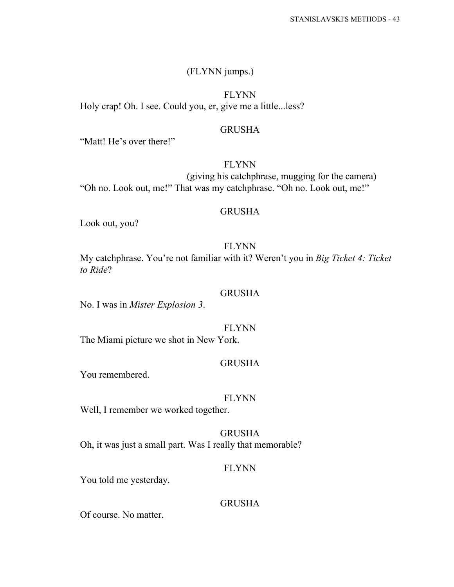## (FLYNN jumps.)

FLYNN Holy crap! Oh. I see. Could you, er, give me a little...less?

## GRUSHA

"Matt! He's over there!"

# FLYNN

(giving his catchphrase, mugging for the camera) "Oh no. Look out, me!" That was my catchphrase. "Oh no. Look out, me!"

### GRUSHA

Look out, you?

## FLYNN

My catchphrase. You're not familiar with it? Weren't you in *Big Ticket 4: Ticket to Ride*?

### GRUSHA

No. I was in *Mister Explosion 3*.

FLYNN

The Miami picture we shot in New York.

## GRUSHA

You remembered.

#### FLYNN

Well, I remember we worked together.

## GRUSHA Oh, it was just a small part. Was I really that memorable?

## FLYNN

You told me yesterday.

## GRUSHA

Of course. No matter.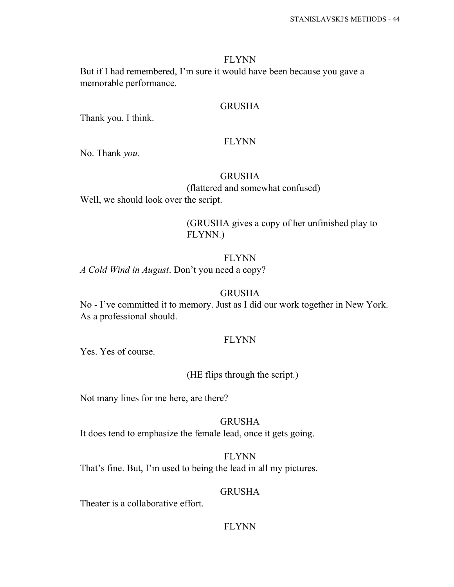### FLYNN

But if I had remembered, I'm sure it would have been because you gave a memorable performance.

### GRUSHA

Thank you. I think.

#### FLYNN

No. Thank *you*.

## GRUSHA

(flattered and somewhat confused)

Well, we should look over the script.

(GRUSHA gives a copy of her unfinished play to FLYNN.)

# FLYNN

*A Cold Wind in August*. Don't you need a copy?

### GRUSHA

No - I've committed it to memory. Just as I did our work together in New York. As a professional should.

## FLYNN

Yes. Yes of course.

## (HE flips through the script.)

Not many lines for me here, are there?

## GRUSHA It does tend to emphasize the female lead, once it gets going.

FLYNN That's fine. But, I'm used to being the lead in all my pictures.

### GRUSHA

Theater is a collaborative effort.

## FLYNN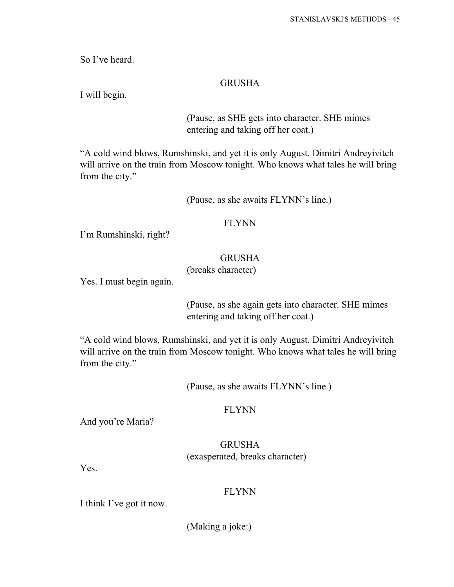So I've heard.

## GRUSHA

I will begin.

(Pause, as SHE gets into character. SHE mimes entering and taking off her coat.)

"A cold wind blows, Rumshinski, and yet it is only August. Dimitri Andreyivitch will arrive on the train from Moscow tonight. Who knows what tales he will bring from the city."

(Pause, as she awaits FLYNN's line.)

## FLYNN

I'm Rumshinski, right?

## GRUSHA

## (breaks character)

Yes. I must begin again.

(Pause, as she again gets into character. SHE mimes entering and taking off her coat.)

"A cold wind blows, Rumshinski, and yet it is only August. Dimitri Andreyivitch will arrive on the train from Moscow tonight. Who knows what tales he will bring from the city."

(Pause, as she awaits FLYNN's line.)

## FLYNN

And you're Maria?

# GRUSHA (exasperated, breaks character)

Yes.

## FLYNN

I think I've got it now.

(Making a joke:)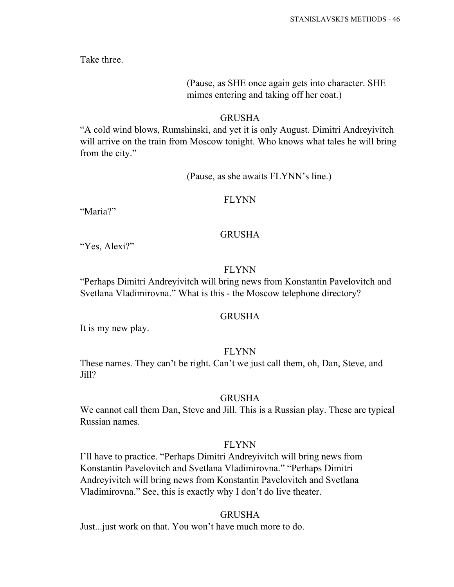Take three.

# (Pause, as SHE once again gets into character. SHE mimes entering and taking off her coat.)

## GRUSHA

"A cold wind blows, Rumshinski, and yet it is only August. Dimitri Andreyivitch will arrive on the train from Moscow tonight. Who knows what tales he will bring from the city."

## (Pause, as she awaits FLYNN's line.)

### FLYNN

"Maria?"

## **GRUSHA**

"Yes, Alexi?"

## FLYNN

"Perhaps Dimitri Andreyivitch will bring news from Konstantin Pavelovitch and Svetlana Vladimirovna." What is this - the Moscow telephone directory?

## GRUSHA

It is my new play.

## FLYNN

These names. They can't be right. Can't we just call them, oh, Dan, Steve, and Jill?

#### **GRUSHA**

We cannot call them Dan, Steve and Jill. This is a Russian play. These are typical Russian names.

### FLYNN

I'll have to practice. "Perhaps Dimitri Andreyivitch will bring news from Konstantin Pavelovitch and Svetlana Vladimirovna." "Perhaps Dimitri Andreyivitch will bring news from Konstantin Pavelovitch and Svetlana Vladimirovna." See, this is exactly why I don't do live theater.

## **GRUSHA**

Just...just work on that. You won't have much more to do.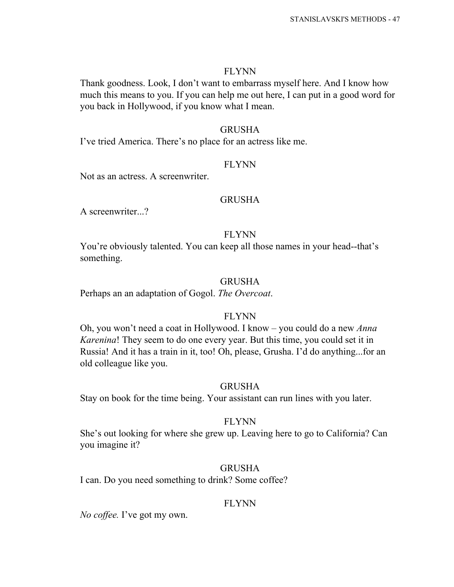### FLYNN

Thank goodness. Look, I don't want to embarrass myself here. And I know how much this means to you. If you can help me out here, I can put in a good word for you back in Hollywood, if you know what I mean.

## GRUSHA

I've tried America. There's no place for an actress like me.

### FLYNN

Not as an actress. A screenwriter.

## GRUSHA

A screenwriter...?

#### FLYNN

You're obviously talented. You can keep all those names in your head--that's something.

## GRUSHA

Perhaps an an adaptation of Gogol. *The Overcoat*.

## FLYNN

Oh, you won't need a coat in Hollywood. I know – you could do a new *Anna Karenina*! They seem to do one every year. But this time, you could set it in Russia! And it has a train in it, too! Oh, please, Grusha. I'd do anything...for an old colleague like you.

#### GRUSHA

Stay on book for the time being. Your assistant can run lines with you later.

## FLYNN

She's out looking for where she grew up. Leaving here to go to California? Can you imagine it?

#### GRUSHA

I can. Do you need something to drink? Some coffee?

#### FLYNN

*No coffee.* I've got my own.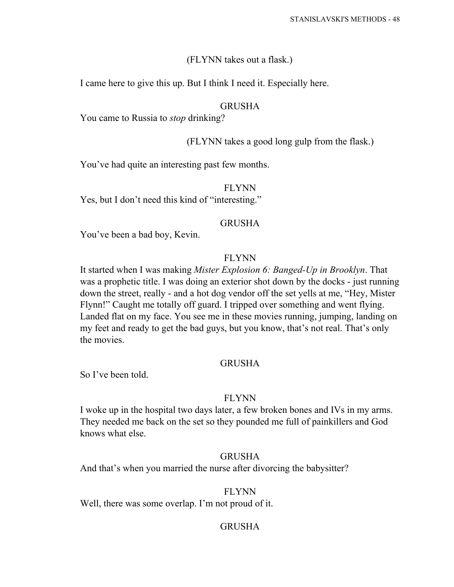## (FLYNN takes out a flask.)

I came here to give this up. But I think I need it. Especially here.

## GRUSHA

You came to Russia to *stop* drinking?

# (FLYNN takes a good long gulp from the flask.)

You've had quite an interesting past few months.

## FLYNN

Yes, but I don't need this kind of "interesting."

## GRUSHA

You've been a bad boy, Kevin.

# FLYNN

It started when I was making *Mister Explosion 6: Banged-Up in Brooklyn*. That was a prophetic title. I was doing an exterior shot down by the docks - just running down the street, really - and a hot dog vendor off the set yells at me, "Hey, Mister Flynn!" Caught me totally off guard. I tripped over something and went flying. Landed flat on my face. You see me in these movies running, jumping, landing on my feet and ready to get the bad guys, but you know, that's not real. That's only the movies.

## GRUSHA

So I've been told.

## FLYNN

I woke up in the hospital two days later, a few broken bones and IVs in my arms. They needed me back on the set so they pounded me full of painkillers and God knows what else.

## GRUSHA

And that's when you married the nurse after divorcing the babysitter?

## FLYNN

Well, there was some overlap. I'm not proud of it.

# GRUSHA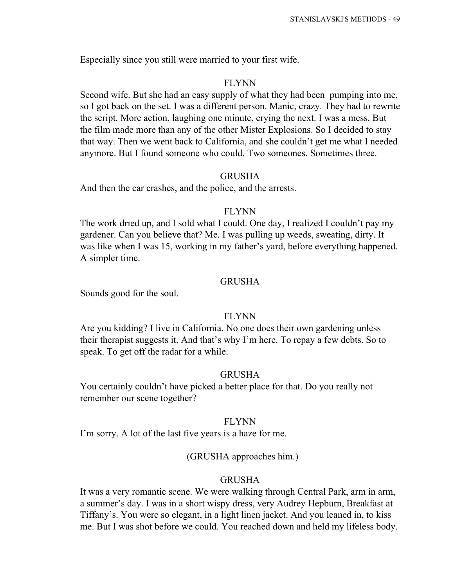Especially since you still were married to your first wife.

## FLYNN

Second wife. But she had an easy supply of what they had been pumping into me, so I got back on the set. I was a different person. Manic, crazy. They had to rewrite the script. More action, laughing one minute, crying the next. I was a mess. But the film made more than any of the other Mister Explosions. So I decided to stay that way. Then we went back to California, and she couldn't get me what I needed anymore. But I found someone who could. Two someones. Sometimes three.

## GRUSHA

And then the car crashes, and the police, and the arrests.

## FLYNN

The work dried up, and I sold what I could. One day, I realized I couldn't pay my gardener. Can you believe that? Me. I was pulling up weeds, sweating, dirty. It was like when I was 15, working in my father's yard, before everything happened. A simpler time.

## GRUSHA

Sounds good for the soul.

## FLYNN

Are you kidding? I live in California. No one does their own gardening unless their therapist suggests it. And that's why I'm here. To repay a few debts. So to speak. To get off the radar for a while.

## GRUSHA

You certainly couldn't have picked a better place for that. Do you really not remember our scene together?

## FLYNN

I'm sorry. A lot of the last five years is a haze for me.

## (GRUSHA approaches him.)

## GRUSHA

It was a very romantic scene. We were walking through Central Park, arm in arm, a summer's day. I was in a short wispy dress, very Audrey Hepburn, Breakfast at Tiffany's. You were so elegant, in a light linen jacket. And you leaned in, to kiss me. But I was shot before we could. You reached down and held my lifeless body.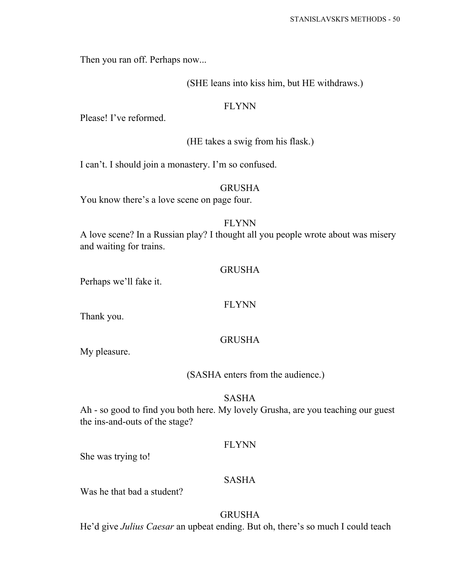Then you ran off. Perhaps now...

## (SHE leans into kiss him, but HE withdraws.)

## FLYNN

Please! I've reformed.

## (HE takes a swig from his flask.)

I can't. I should join a monastery. I'm so confused.

## GRUSHA

You know there's a love scene on page four.

# FLYNN

A love scene? In a Russian play? I thought all you people wrote about was misery and waiting for trains.

## GRUSHA

Perhaps we'll fake it.

## FLYNN

Thank you.

## GRUSHA

My pleasure.

## (SASHA enters from the audience.)

## SASHA

Ah - so good to find you both here. My lovely Grusha, are you teaching our guest the ins-and-outs of the stage?

## FLYNN

She was trying to!

# SASHA

Was he that bad a student?

# GRUSHA

He'd give *Julius Caesar* an upbeat ending. But oh, there's so much I could teach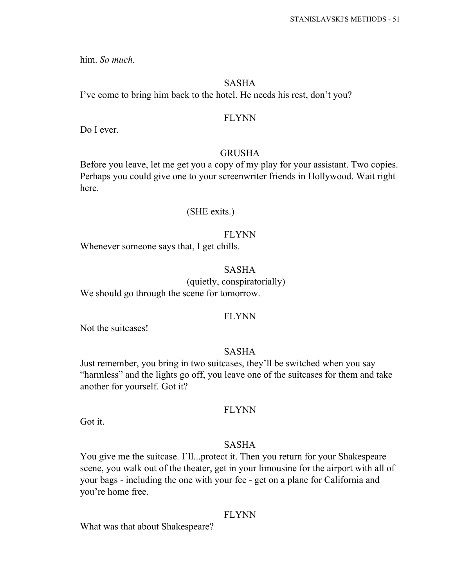him. *So much.*

### SASHA

I've come to bring him back to the hotel. He needs his rest, don't you?

## FLYNN

Do I ever.

### GRUSHA

Before you leave, let me get you a copy of my play for your assistant. Two copies. Perhaps you could give one to your screenwriter friends in Hollywood. Wait right here.

#### (SHE exits.)

## FLYNN

Whenever someone says that, I get chills.

## SASHA

(quietly, conspiratorially) We should go through the scene for tomorrow.

#### FLYNN

Not the suitcases!

### SASHA

Just remember, you bring in two suitcases, they'll be switched when you say "harmless" and the lights go off, you leave one of the suitcases for them and take another for yourself. Got it?

### FLYNN

Got it.

# SASHA

You give me the suitcase. I'll...protect it. Then you return for your Shakespeare scene, you walk out of the theater, get in your limousine for the airport with all of your bags - including the one with your fee - get on a plane for California and you're home free.

### FLYNN

What was that about Shakespeare?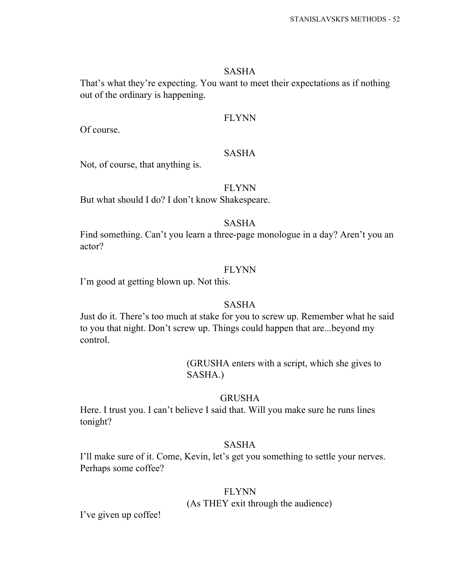#### SASHA

That's what they're expecting. You want to meet their expectations as if nothing out of the ordinary is happening.

## FLYNN

Of course.

## SASHA

Not, of course, that anything is.

### FLYNN

But what should I do? I don't know Shakespeare.

## SASHA

Find something. Can't you learn a three-page monologue in a day? Aren't you an actor?

## FLYNN

I'm good at getting blown up. Not this.

## SASHA

Just do it. There's too much at stake for you to screw up. Remember what he said to you that night. Don't screw up. Things could happen that are...beyond my control.

> (GRUSHA enters with a script, which she gives to SASHA.)

## GRUSHA

Here. I trust you. I can't believe I said that. Will you make sure he runs lines tonight?

## SASHA

I'll make sure of it. Come, Kevin, let's get you something to settle your nerves. Perhaps some coffee?

## FLYNN

(As THEY exit through the audience)

I've given up coffee!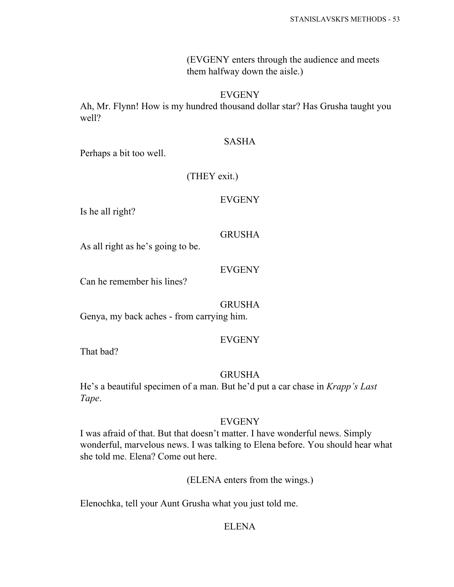(EVGENY enters through the audience and meets them halfway down the aisle.)

## EVGENY

Ah, Mr. Flynn! How is my hundred thousand dollar star? Has Grusha taught you well?

## SASHA

Perhaps a bit too well.

## (THEY exit.)

## EVGENY

Is he all right?

## GRUSHA

As all right as he's going to be.

## EVGENY

Can he remember his lines?

## GRUSHA

Genya, my back aches - from carrying him.

## EVGENY

That bad?

## GRUSHA

He's a beautiful specimen of a man. But he'd put a car chase in *Krapp's Last Tape*.

## EVGENY

I was afraid of that. But that doesn't matter. I have wonderful news. Simply wonderful, marvelous news. I was talking to Elena before. You should hear what she told me. Elena? Come out here.

(ELENA enters from the wings.)

Elenochka, tell your Aunt Grusha what you just told me.

## ELENA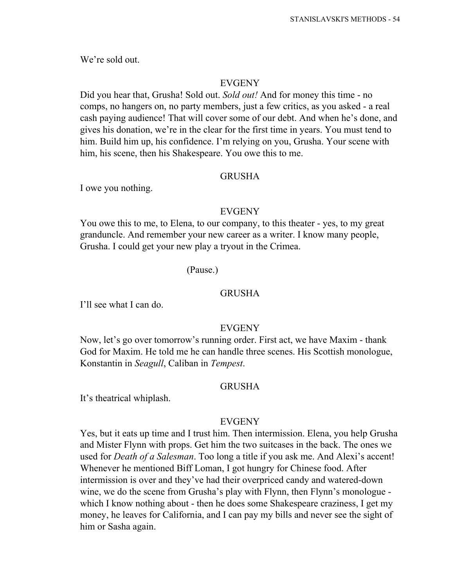We're sold out.

### EVGENY

Did you hear that, Grusha! Sold out. *Sold out!* And for money this time - no comps, no hangers on, no party members, just a few critics, as you asked - a real cash paying audience! That will cover some of our debt. And when he's done, and gives his donation, we're in the clear for the first time in years. You must tend to him. Build him up, his confidence. I'm relying on you, Grusha. Your scene with him, his scene, then his Shakespeare. You owe this to me.

#### GRUSHA

I owe you nothing.

#### EVGENY

You owe this to me, to Elena, to our company, to this theater - yes, to my great granduncle. And remember your new career as a writer. I know many people, Grusha. I could get your new play a tryout in the Crimea.

#### (Pause.)

# GRUSHA

I'll see what I can do.

## EVGENY

Now, let's go over tomorrow's running order. First act, we have Maxim - thank God for Maxim. He told me he can handle three scenes. His Scottish monologue, Konstantin in *Seagull*, Caliban in *Tempest*.

#### GRUSHA

It's theatrical whiplash.

## EVGENY

Yes, but it eats up time and I trust him. Then intermission. Elena, you help Grusha and Mister Flynn with props. Get him the two suitcases in the back. The ones we used for *Death of a Salesman*. Too long a title if you ask me. And Alexi's accent! Whenever he mentioned Biff Loman, I got hungry for Chinese food. After intermission is over and they've had their overpriced candy and watered-down wine, we do the scene from Grusha's play with Flynn, then Flynn's monologue which I know nothing about - then he does some Shakespeare craziness, I get my money, he leaves for California, and I can pay my bills and never see the sight of him or Sasha again.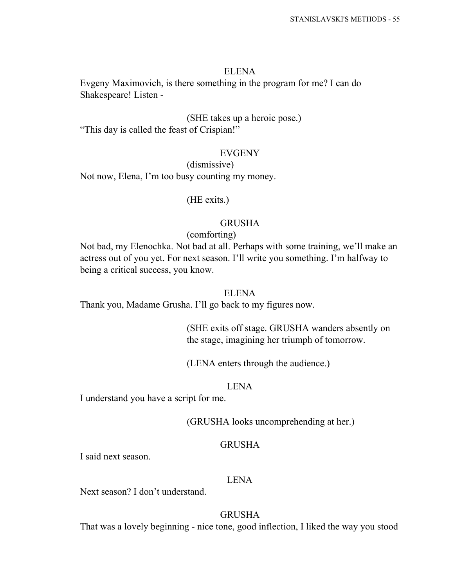#### ELENA

Evgeny Maximovich, is there something in the program for me? I can do Shakespeare! Listen -

## (SHE takes up a heroic pose.)

"This day is called the feast of Crispian!"

## EVGENY

(dismissive)

Not now, Elena, I'm too busy counting my money.

## (HE exits.)

#### GRUSHA

#### (comforting)

Not bad, my Elenochka. Not bad at all. Perhaps with some training, we'll make an actress out of you yet. For next season. I'll write you something. I'm halfway to being a critical success, you know.

### ELENA

Thank you, Madame Grusha. I'll go back to my figures now.

(SHE exits off stage. GRUSHA wanders absently on the stage, imagining her triumph of tomorrow.

(LENA enters through the audience.)

#### LENA

I understand you have a script for me.

(GRUSHA looks uncomprehending at her.)

## GRUSHA

I said next season.

#### LENA

Next season? I don't understand.

## **GRUSHA**

That was a lovely beginning - nice tone, good inflection, I liked the way you stood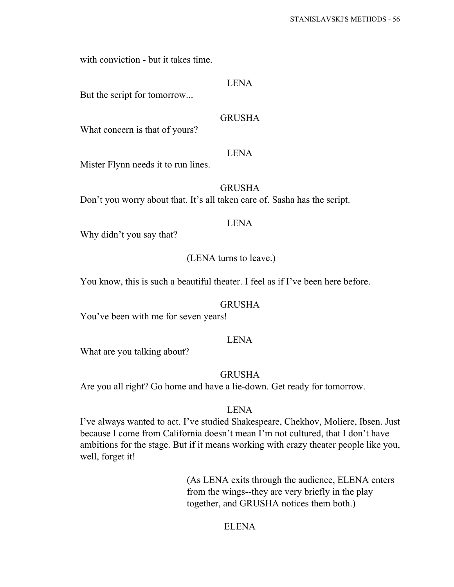with conviction - but it takes time.

## LENA

But the script for tomorrow...

## GRUSHA

What concern is that of yours?

#### LENA

Mister Flynn needs it to run lines.

GRUSHA

Don't you worry about that. It's all taken care of. Sasha has the script.

#### LENA

Why didn't you say that?

## (LENA turns to leave.)

You know, this is such a beautiful theater. I feel as if I've been here before.

### GRUSHA

You've been with me for seven years!

## LENA

What are you talking about?

## GRUSHA

Are you all right? Go home and have a lie-down. Get ready for tomorrow.

### LENA

I've always wanted to act. I've studied Shakespeare, Chekhov, Moliere, Ibsen. Just because I come from California doesn't mean I'm not cultured, that I don't have ambitions for the stage. But if it means working with crazy theater people like you, well, forget it!

> (As LENA exits through the audience, ELENA enters from the wings--they are very briefly in the play together, and GRUSHA notices them both.)

## ELENA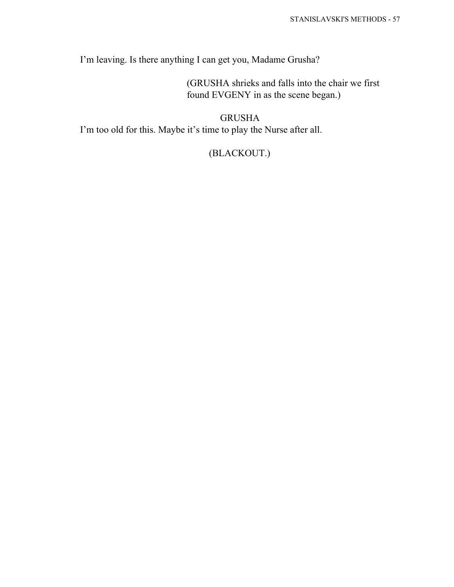I'm leaving. Is there anything I can get you, Madame Grusha?

(GRUSHA shrieks and falls into the chair we first found EVGENY in as the scene began.)

GRUSHA I'm too old for this. Maybe it's time to play the Nurse after all.

# (BLACKOUT.)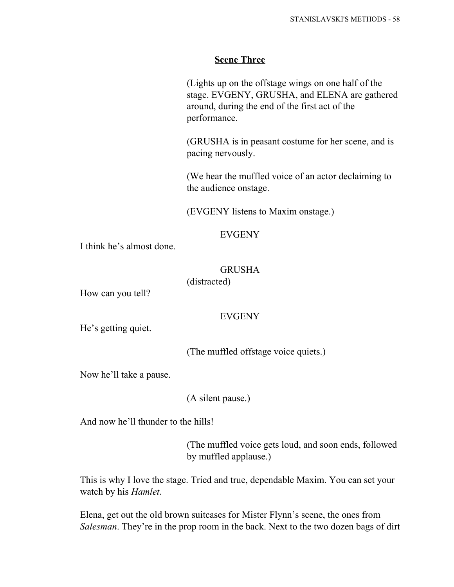## **Scene Three**

(Lights up on the offstage wings on one half of the stage. EVGENY, GRUSHA, and ELENA are gathered around, during the end of the first act of the performance.

(GRUSHA is in peasant costume for her scene, and is pacing nervously.

(We hear the muffled voice of an actor declaiming to the audience onstage.

(EVGENY listens to Maxim onstage.)

## EVGENY

I think he's almost done.

## GRUSHA

(distracted)

How can you tell?

## EVGENY

He's getting quiet.

(The muffled offstage voice quiets.)

Now he'll take a pause.

(A silent pause.)

And now he'll thunder to the hills!

(The muffled voice gets loud, and soon ends, followed by muffled applause.)

This is why I love the stage. Tried and true, dependable Maxim. You can set your watch by his *Hamlet*.

Elena, get out the old brown suitcases for Mister Flynn's scene, the ones from *Salesman*. They're in the prop room in the back. Next to the two dozen bags of dirt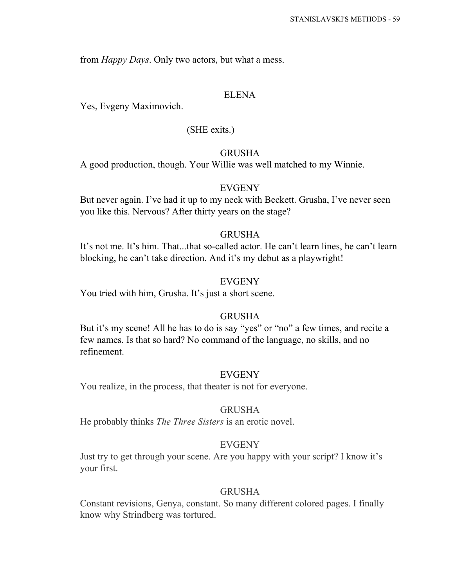from *Happy Days*. Only two actors, but what a mess.

## ELENA

Yes, Evgeny Maximovich.

### (SHE exits.)

#### GRUSHA

A good production, though. Your Willie was well matched to my Winnie.

## EVGENY

But never again. I've had it up to my neck with Beckett. Grusha, I've never seen you like this. Nervous? After thirty years on the stage?

## GRUSHA

It's not me. It's him. That...that so-called actor. He can't learn lines, he can't learn blocking, he can't take direction. And it's my debut as a playwright!

## **EVGENY**

You tried with him, Grusha. It's just a short scene.

## GRUSHA

But it's my scene! All he has to do is say "yes" or "no" a few times, and recite a few names. Is that so hard? No command of the language, no skills, and no refinement.

### EVGENY

You realize, in the process, that theater is not for everyone.

### GRUSHA

He probably thinks *The Three Sisters* is an erotic novel.

## EVGENY

Just try to get through your scene. Are you happy with your script? I know it's your first.

### GRUSHA

Constant revisions, Genya, constant. So many different colored pages. I finally know why Strindberg was tortured.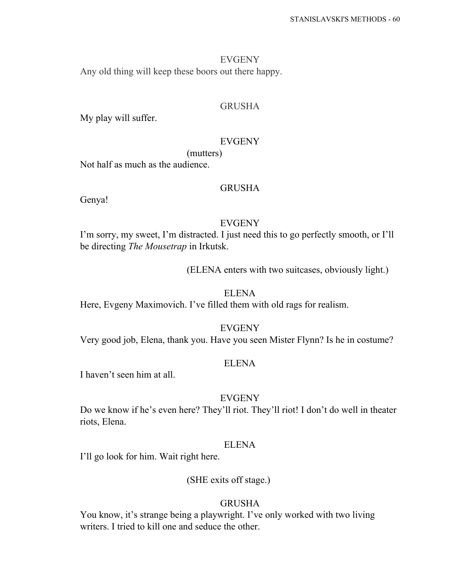#### EVGENY

Any old thing will keep these boors out there happy.

## GRUSHA

My play will suffer.

#### EVGENY

(mutters)

Not half as much as the audience.

## GRUSHA

Genya!

### EVGENY

I'm sorry, my sweet, I'm distracted. I just need this to go perfectly smooth, or I'll be directing *The Mousetrap* in Irkutsk.

(ELENA enters with two suitcases, obviously light.)

### ELENA

Here, Evgeny Maximovich. I've filled them with old rags for realism.

#### EVGENY

Very good job, Elena, thank you. Have you seen Mister Flynn? Is he in costume?

## ELENA

I haven't seen him at all.

#### EVGENY

Do we know if he's even here? They'll riot. They'll riot! I don't do well in theater riots, Elena.

## ELENA

I'll go look for him. Wait right here.

#### (SHE exits off stage.)

#### GRUSHA

You know, it's strange being a playwright. I've only worked with two living writers. I tried to kill one and seduce the other.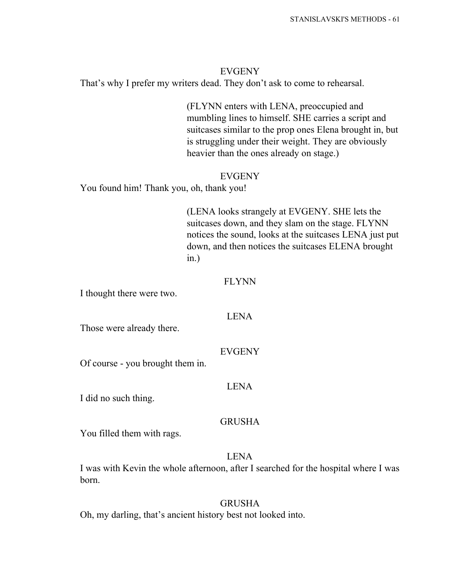## EVGENY

That's why I prefer my writers dead. They don't ask to come to rehearsal.

(FLYNN enters with LENA, preoccupied and mumbling lines to himself. SHE carries a script and suitcases similar to the prop ones Elena brought in, but is struggling under their weight. They are obviously heavier than the ones already on stage.)

### EVGENY

You found him! Thank you, oh, thank you!

(LENA looks strangely at EVGENY. SHE lets the suitcases down, and they slam on the stage. FLYNN notices the sound, looks at the suitcases LENA just put down, and then notices the suitcases ELENA brought in.)

### FLYNN

I thought there were two.

#### LENA

Those were already there.

#### EVGENY

Of course - you brought them in.

#### LENA

I did no such thing.

### GRUSHA

You filled them with rags.

## LENA

I was with Kevin the whole afternoon, after I searched for the hospital where I was born.

### **GRUSHA**

Oh, my darling, that's ancient history best not looked into.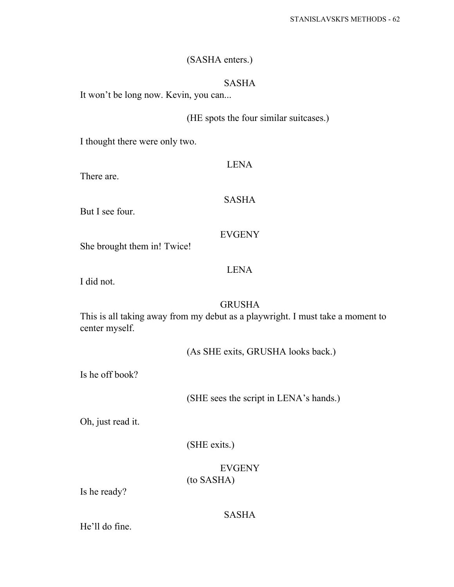# (SASHA enters.)

## SASHA

It won't be long now. Kevin, you can...

# (HE spots the four similar suitcases.)

I thought there were only two.

| There are.                  | <b>LENA</b>   |
|-----------------------------|---------------|
| But I see four.             | <b>SASHA</b>  |
| She brought them in! Twice! | <b>EVGENY</b> |
|                             | Н,            |

I did not.

### GRUSHA

This is all taking away from my debut as a playwright. I must take a moment to center myself.

(As SHE exits, GRUSHA looks back.)

Is he off book?

(SHE sees the script in LENA's hands.)

Oh, just read it.

(SHE exits.)

EVGENY (to SASHA)

Is he ready?

# SASHA

He'll do fine.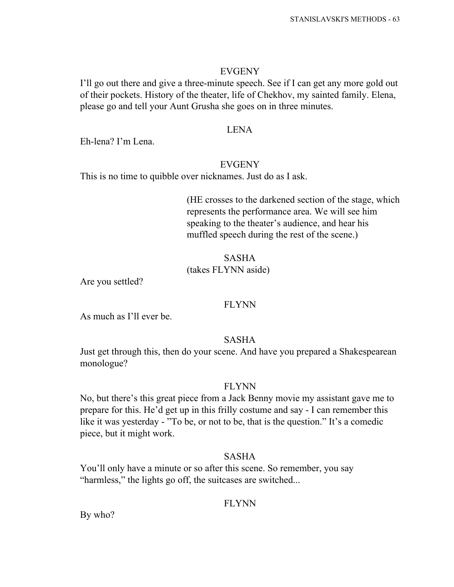### EVGENY

I'll go out there and give a three-minute speech. See if I can get any more gold out of their pockets. History of the theater, life of Chekhov, my sainted family. Elena, please go and tell your Aunt Grusha she goes on in three minutes.

## LENA

Eh-lena? I'm Lena.

## EVGENY

This is no time to quibble over nicknames. Just do as I ask.

(HE crosses to the darkened section of the stage, which represents the performance area. We will see him speaking to the theater's audience, and hear his muffled speech during the rest of the scene.)

## SASHA (takes FLYNN aside)

Are you settled?

## FLYNN

As much as I'll ever be.

## SASHA

Just get through this, then do your scene. And have you prepared a Shakespearean monologue?

## FLYNN

No, but there's this great piece from a Jack Benny movie my assistant gave me to prepare for this. He'd get up in this frilly costume and say - I can remember this like it was yesterday - "To be, or not to be, that is the question." It's a comedic piece, but it might work.

## SASHA

You'll only have a minute or so after this scene. So remember, you say "harmless," the lights go off, the suitcases are switched...

## FLYNN

By who?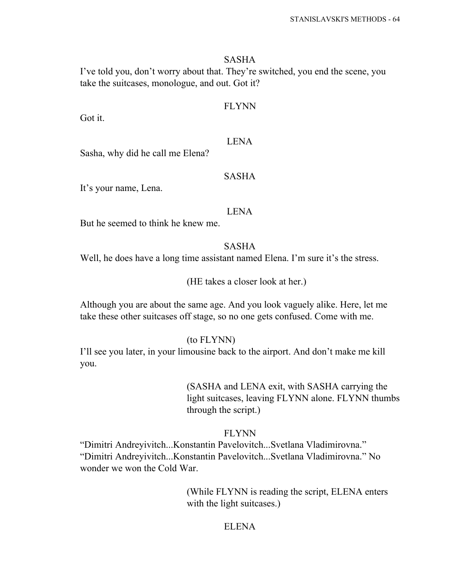## SASHA

I've told you, don't worry about that. They're switched, you end the scene, you take the suitcases, monologue, and out. Got it?

## FLYNN

Got it.

### LENA

Sasha, why did he call me Elena?

### SASHA

It's your name, Lena.

### LENA

But he seemed to think he knew me.

SASHA

Well, he does have a long time assistant named Elena. I'm sure it's the stress.

(HE takes a closer look at her.)

Although you are about the same age. And you look vaguely alike. Here, let me take these other suitcases off stage, so no one gets confused. Come with me.

#### (to FLYNN)

I'll see you later, in your limousine back to the airport. And don't make me kill you.

> (SASHA and LENA exit, with SASHA carrying the light suitcases, leaving FLYNN alone. FLYNN thumbs through the script.)

## FLYNN

"Dimitri Andreyivitch...Konstantin Pavelovitch...Svetlana Vladimirovna." "Dimitri Andreyivitch...Konstantin Pavelovitch...Svetlana Vladimirovna." No wonder we won the Cold War.

> (While FLYNN is reading the script, ELENA enters with the light suitcases.)

## ELENA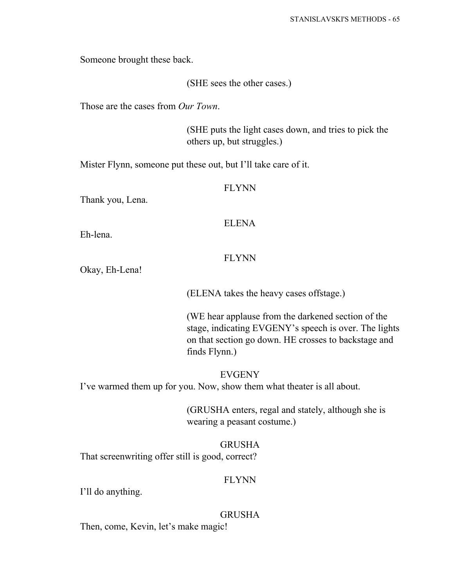Someone brought these back.

(SHE sees the other cases.)

Those are the cases from *Our Town*.

(SHE puts the light cases down, and tries to pick the others up, but struggles.)

Mister Flynn, someone put these out, but I'll take care of it.

### FLYNN

Thank you, Lena.

### ELENA

Eh-lena.

# FLYNN

Okay, Eh-Lena!

(ELENA takes the heavy cases offstage.)

(WE hear applause from the darkened section of the stage, indicating EVGENY's speech is over. The lights on that section go down. HE crosses to backstage and finds Flynn.)

EVGENY

I've warmed them up for you. Now, show them what theater is all about.

(GRUSHA enters, regal and stately, although she is wearing a peasant costume.)

## GRUSHA

That screenwriting offer still is good, correct?

#### FLYNN

I'll do anything.

#### GRUSHA

Then, come, Kevin, let's make magic!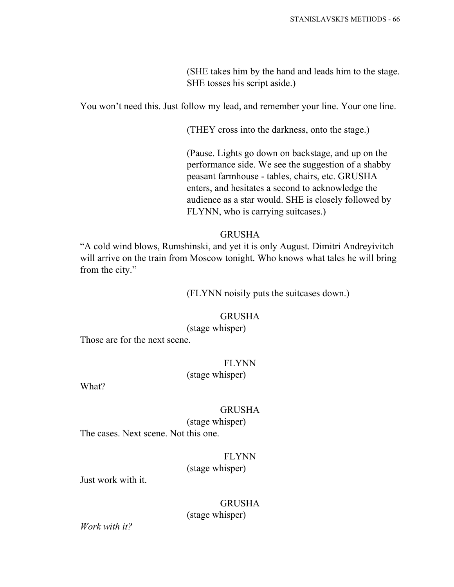(SHE takes him by the hand and leads him to the stage. SHE tosses his script aside.)

You won't need this. Just follow my lead, and remember your line. Your one line.

(THEY cross into the darkness, onto the stage.)

(Pause. Lights go down on backstage, and up on the performance side. We see the suggestion of a shabby peasant farmhouse - tables, chairs, etc. GRUSHA enters, and hesitates a second to acknowledge the audience as a star would. SHE is closely followed by FLYNN, who is carrying suitcases.)

## GRUSHA

"A cold wind blows, Rumshinski, and yet it is only August. Dimitri Andreyivitch will arrive on the train from Moscow tonight. Who knows what tales he will bring from the city."

(FLYNN noisily puts the suitcases down.)

## GRUSHA

(stage whisper)

Those are for the next scene.

## FLYNN (stage whisper)

What?

## GRUSHA

(stage whisper) The cases. Next scene. Not this one.

## FLYNN (stage whisper)

Just work with it.

**GRUSHA** (stage whisper)

*Work with it?*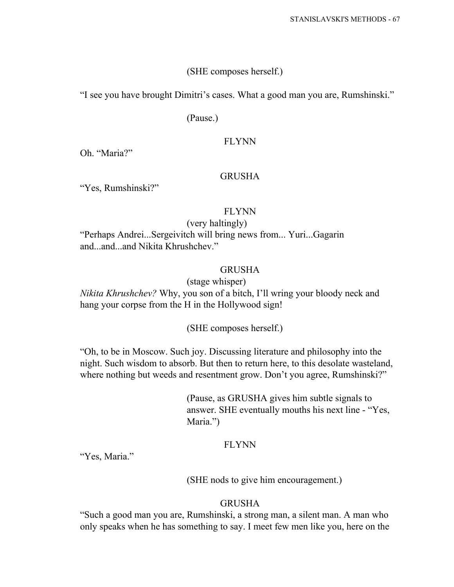## (SHE composes herself.)

"I see you have brought Dimitri's cases. What a good man you are, Rumshinski."

(Pause.)

## FLYNN

Oh. "Maria?"

### **GRUSHA**

"Yes, Rumshinski?"

### FLYNN

### (very haltingly)

"Perhaps Andrei...Sergeivitch will bring news from... Yuri...Gagarin and and and Nikita Khrushchev."

## GRUSHA

### (stage whisper)

*Nikita Khrushchev?* Why, you son of a bitch, I'll wring your bloody neck and hang your corpse from the H in the Hollywood sign!

## (SHE composes herself.)

"Oh, to be in Moscow. Such joy. Discussing literature and philosophy into the night. Such wisdom to absorb. But then to return here, to this desolate wasteland, where nothing but weeds and resentment grow. Don't you agree, Rumshinski?"

> (Pause, as GRUSHA gives him subtle signals to answer. SHE eventually mouths his next line - "Yes, Maria.")

## FLYNN

"Yes, Maria."

(SHE nods to give him encouragement.)

## GRUSHA

"Such a good man you are, Rumshinski, a strong man, a silent man. A man who only speaks when he has something to say. I meet few men like you, here on the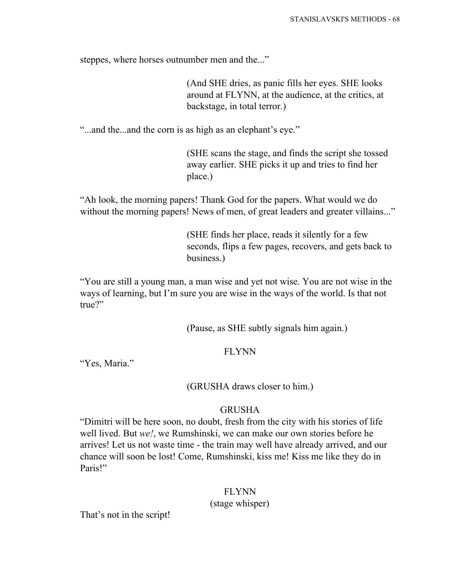steppes, where horses outnumber men and the..."

(And SHE dries, as panic fills her eyes. SHE looks around at FLYNN, at the audience, at the critics, at backstage, in total terror.)

"...and the...and the corn is as high as an elephant's eye."

(SHE scans the stage, and finds the script she tossed away earlier. SHE picks it up and tries to find her place.)

"Ah look, the morning papers! Thank God for the papers. What would we do without the morning papers! News of men, of great leaders and greater villains..."

> (SHE finds her place, reads it silently for a few seconds, flips a few pages, recovers, and gets back to business.)

"You are still a young man, a man wise and yet not wise. You are not wise in the ways of learning, but I'm sure you are wise in the ways of the world. Is that not true?"

(Pause, as SHE subtly signals him again.)

## FLYNN

"Yes, Maria."

(GRUSHA draws closer to him.)

## GRUSHA

"Dimitri will be here soon, no doubt, fresh from the city with his stories of life well lived. But *we!*, we Rumshinski, we can make our own stories before he arrives! Let us not waste time - the train may well have already arrived, and our chance will soon be lost! Come, Rumshinski, kiss me! Kiss me like they do in Paris!"

## FLYNN

(stage whisper)

That's not in the script!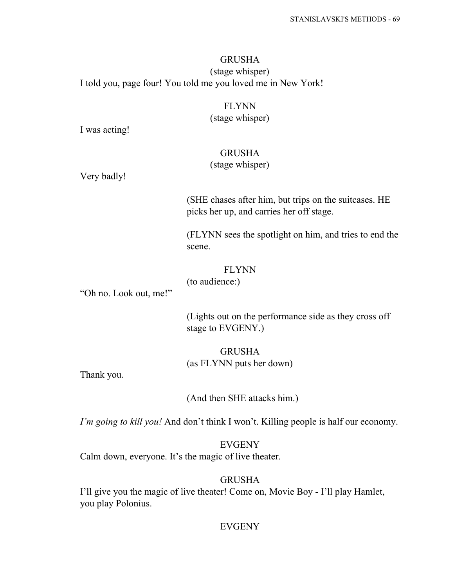# GRUSHA (stage whisper) I told you, page four! You told me you loved me in New York!

## FLYNN (stage whisper)

I was acting!

## GRUSHA

# (stage whisper)

Very badly!

(SHE chases after him, but trips on the suitcases. HE picks her up, and carries her off stage.

(FLYNN sees the spotlight on him, and tries to end the scene.

FLYNN (to audience:)

"Oh no. Look out, me!"

(Lights out on the performance side as they cross off stage to EVGENY.)

GRUSHA (as FLYNN puts her down)

Thank you.

(And then SHE attacks him.)

*I'm going to kill you!* And don't think I won't. Killing people is half our economy.

EVGENY Calm down, everyone. It's the magic of live theater.

## GRUSHA

I'll give you the magic of live theater! Come on, Movie Boy - I'll play Hamlet, you play Polonius.

## EVGENY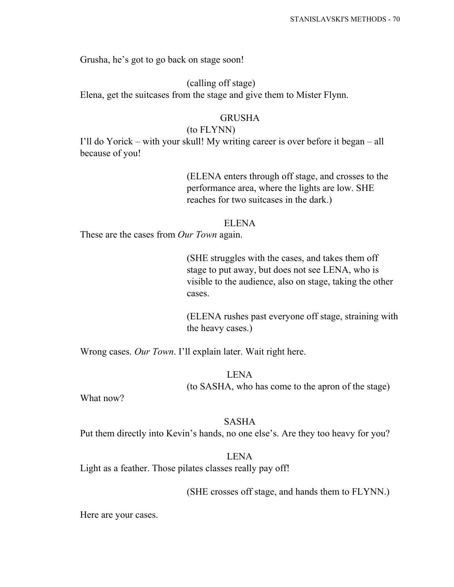Grusha, he's got to go back on stage soon!

(calling off stage) Elena, get the suitcases from the stage and give them to Mister Flynn.

## GRUSHA

## (to FLYNN)

I'll do Yorick – with your skull! My writing career is over before it began – all because of you!

> (ELENA enters through off stage, and crosses to the performance area, where the lights are low. SHE reaches for two suitcases in the dark.)

#### ELENA

These are the cases from *Our Town* again.

(SHE struggles with the cases, and takes them off stage to put away, but does not see LENA, who is visible to the audience, also on stage, taking the other cases.

(ELENA rushes past everyone off stage, straining with the heavy cases.)

Wrong cases. *Our Town*. I'll explain later. Wait right here.

## LENA (to SASHA, who has come to the apron of the stage)

What now?

#### SASHA

Put them directly into Kevin's hands, no one else's. Are they too heavy for you?

# LENA

Light as a feather. Those pilates classes really pay off!

(SHE crosses off stage, and hands them to FLYNN.)

Here are your cases.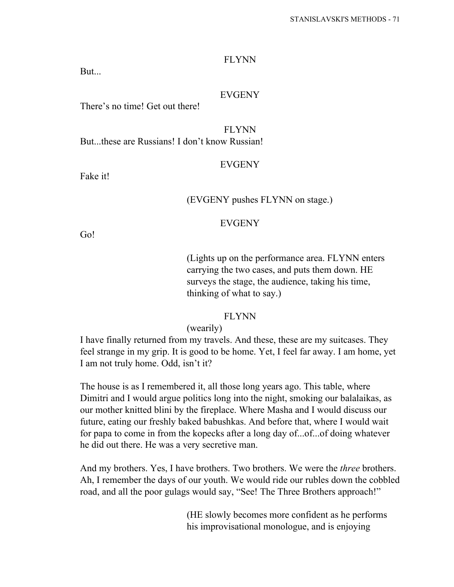#### FLYNN

But...

## EVGENY

There's no time! Get out there!

FLYNN But...these are Russians! I don't know Russian!

#### **EVGENY**

Fake it!

## (EVGENY pushes FLYNN on stage.)

#### EVGENY

Go!

(Lights up on the performance area. FLYNN enters carrying the two cases, and puts them down. HE surveys the stage, the audience, taking his time, thinking of what to say.)

#### FLYNN

(wearily)

I have finally returned from my travels. And these, these are my suitcases. They feel strange in my grip. It is good to be home. Yet, I feel far away. I am home, yet I am not truly home. Odd, isn't it?

The house is as I remembered it, all those long years ago. This table, where Dimitri and I would argue politics long into the night, smoking our balalaikas, as our mother knitted blini by the fireplace. Where Masha and I would discuss our future, eating our freshly baked babushkas. And before that, where I would wait for papa to come in from the kopecks after a long day of...of...of doing whatever he did out there. He was a very secretive man.

And my brothers. Yes, I have brothers. Two brothers. We were the *three* brothers. Ah, I remember the days of our youth. We would ride our rubles down the cobbled road, and all the poor gulags would say, "See! The Three Brothers approach!"

> (HE slowly becomes more confident as he performs his improvisational monologue, and is enjoying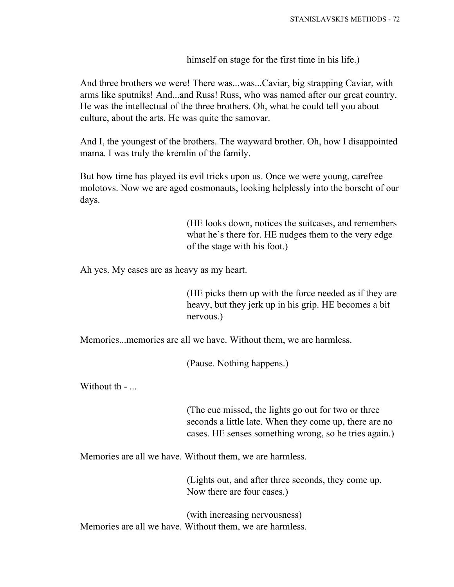himself on stage for the first time in his life.)

And three brothers we were! There was...was...Caviar, big strapping Caviar, with arms like sputniks! And...and Russ! Russ, who was named after our great country. He was the intellectual of the three brothers. Oh, what he could tell you about culture, about the arts. He was quite the samovar.

And I, the youngest of the brothers. The wayward brother. Oh, how I disappointed mama. I was truly the kremlin of the family.

But how time has played its evil tricks upon us. Once we were young, carefree molotovs. Now we are aged cosmonauts, looking helplessly into the borscht of our days.

> (HE looks down, notices the suitcases, and remembers what he's there for. HE nudges them to the very edge of the stage with his foot.)

Ah yes. My cases are as heavy as my heart.

(HE picks them up with the force needed as if they are heavy, but they jerk up in his grip. HE becomes a bit nervous.)

Memories...memories are all we have. Without them, we are harmless.

(Pause. Nothing happens.)

Without th - ...

(The cue missed, the lights go out for two or three seconds a little late. When they come up, there are no cases. HE senses something wrong, so he tries again.)

Memories are all we have. Without them, we are harmless.

(Lights out, and after three seconds, they come up. Now there are four cases.)

(with increasing nervousness) Memories are all we have. Without them, we are harmless.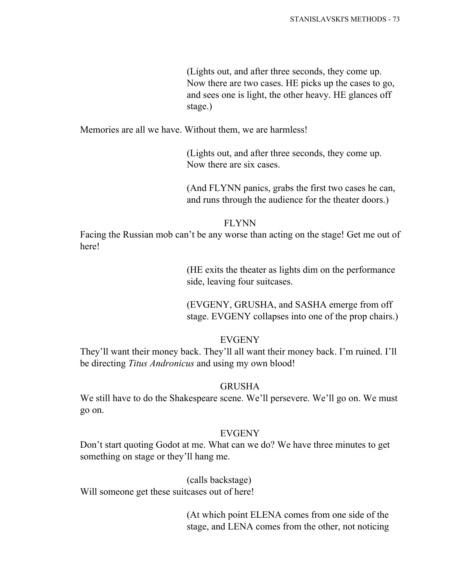(Lights out, and after three seconds, they come up. Now there are two cases. HE picks up the cases to go, and sees one is light, the other heavy. HE glances off stage.)

Memories are all we have. Without them, we are harmless!

(Lights out, and after three seconds, they come up. Now there are six cases.

(And FLYNN panics, grabs the first two cases he can, and runs through the audience for the theater doors.)

#### FLYNN

Facing the Russian mob can't be any worse than acting on the stage! Get me out of here!

> (HE exits the theater as lights dim on the performance side, leaving four suitcases.

(EVGENY, GRUSHA, and SASHA emerge from off stage. EVGENY collapses into one of the prop chairs.)

### EVGENY

They'll want their money back. They'll all want their money back. I'm ruined. I'll be directing *Titus Andronicus* and using my own blood!

### GRUSHA

We still have to do the Shakespeare scene. We'll persevere. We'll go on. We must go on.

#### EVGENY

Don't start quoting Godot at me. What can we do? We have three minutes to get something on stage or they'll hang me.

### (calls backstage)

Will someone get these suitcases out of here!

(At which point ELENA comes from one side of the stage, and LENA comes from the other, not noticing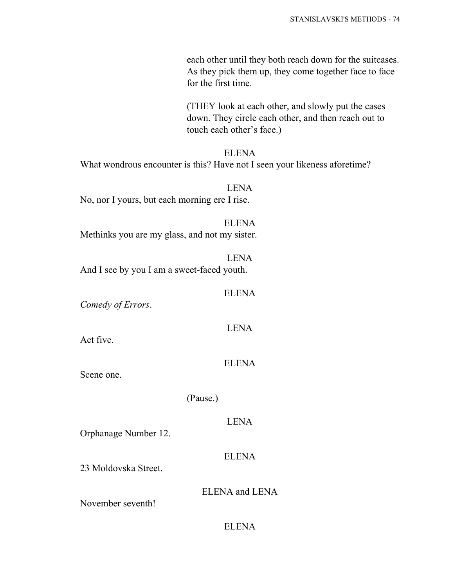each other until they both reach down for the suitcases. As they pick them up, they come together face to face for the first time.

(THEY look at each other, and slowly put the cases down. They circle each other, and then reach out to touch each other's face.)

ELENA What wondrous encounter is this? Have not I seen your likeness aforetime?

LENA No, nor I yours, but each morning ere I rise.

ELENA Methinks you are my glass, and not my sister.

LENA And I see by you I am a sweet-faced youth.

*Comedy of Errors*.

LENA

ELENA

Act five.

ELENA

Scene one.

(Pause.)

LENA

Orphanage Number 12.

ELENA

23 Moldovska Street.

ELENA and LENA

November seventh!

## ELENA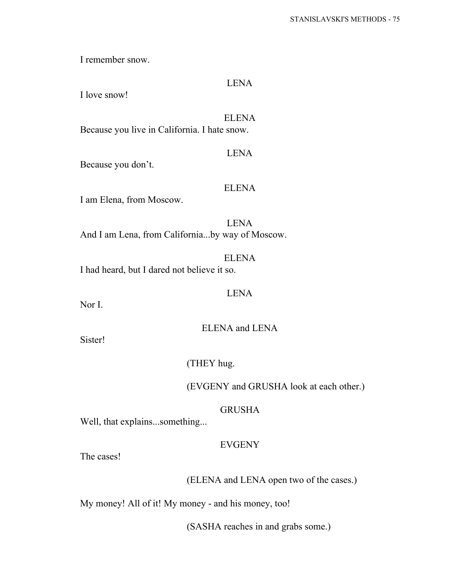I remember snow.

## LENA

I love snow!

# ELENA

Because you live in California. I hate snow.

#### LENA

Because you don't.

#### ELENA

I am Elena, from Moscow.

LENA And I am Lena, from California...by way of Moscow.

ELENA I had heard, but I dared not believe it so.

LENA

Nor I.

ELENA and LENA

Sister!

(THEY hug.

(EVGENY and GRUSHA look at each other.)

### GRUSHA

Well, that explains...something...

### EVGENY

The cases!

## (ELENA and LENA open two of the cases.)

My money! All of it! My money - and his money, too!

(SASHA reaches in and grabs some.)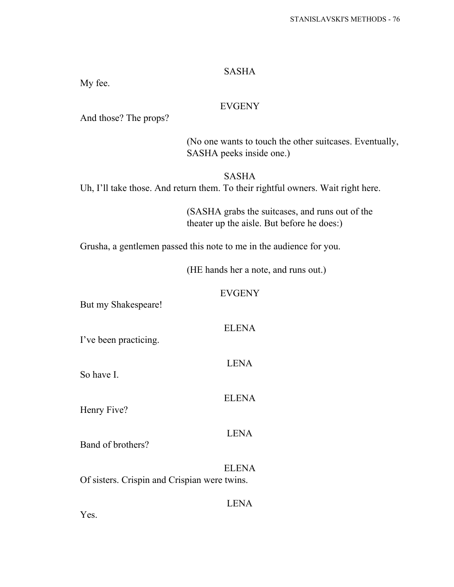### SASHA

My fee.

## EVGENY

And those? The props?

(No one wants to touch the other suitcases. Eventually, SASHA peeks inside one.)

SASHA Uh, I'll take those. And return them. To their rightful owners. Wait right here.

> (SASHA grabs the suitcases, and runs out of the theater up the aisle. But before he does:)

Grusha, a gentlemen passed this note to me in the audience for you.

(HE hands her a note, and runs out.)

#### EVGENY

ELENA

LENA

But my Shakespeare!

I've been practicing.

So have I.

ELENA

Henry Five?

### LENA

Band of brothers?

ELENA Of sisters. Crispin and Crispian were twins.

LENA

Yes.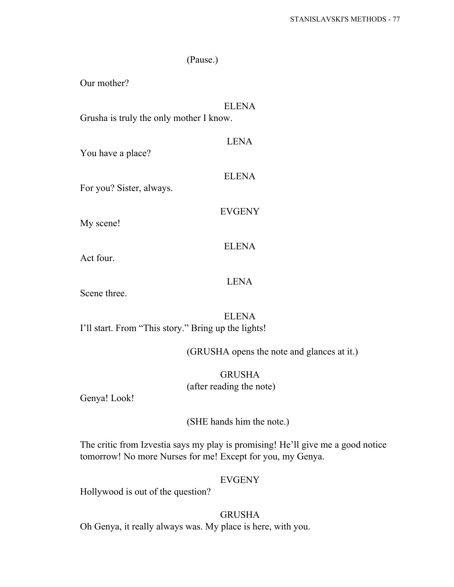|                                         | (Pause.)      |  |
|-----------------------------------------|---------------|--|
| Our mother?                             |               |  |
| Grusha is truly the only mother I know. | <b>ELENA</b>  |  |
| You have a place?                       | <b>LENA</b>   |  |
| For you? Sister, always.                | <b>ELENA</b>  |  |
| My scene!                               | <b>EVGENY</b> |  |
| Act four.                               | <b>ELENA</b>  |  |
|                                         | LENA          |  |

Scene three.

ELENA I'll start. From "This story." Bring up the lights!

(GRUSHA opens the note and glances at it.)

GRUSHA (after reading the note)

Genya! Look!

(SHE hands him the note.)

The critic from Izvestia says my play is promising! He'll give me a good notice tomorrow! No more Nurses for me! Except for you, my Genya.

## EVGENY

Hollywood is out of the question?

## GRUSHA

Oh Genya, it really always was. My place is here, with you.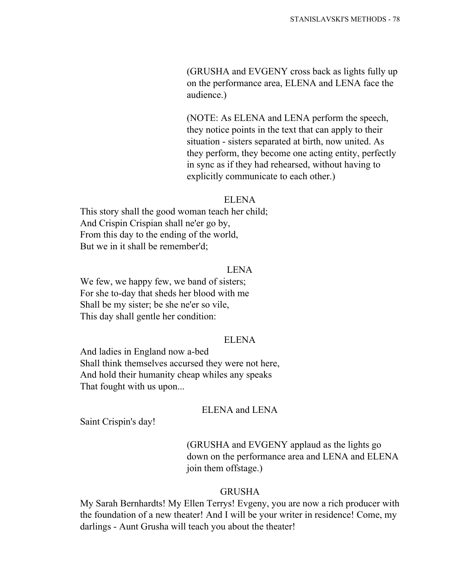(GRUSHA and EVGENY cross back as lights fully up on the performance area, ELENA and LENA face the audience.)

(NOTE: As ELENA and LENA perform the speech, they notice points in the text that can apply to their situation - sisters separated at birth, now united. As they perform, they become one acting entity, perfectly in sync as if they had rehearsed, without having to explicitly communicate to each other.)

#### ELENA

This story shall the good woman teach her child; And Crispin Crispian shall ne'er go by, From this day to the ending of the world, But we in it shall be remember'd;

#### LENA

We few, we happy few, we band of sisters; For she to-day that sheds her blood with me Shall be my sister; be she ne'er so vile, This day shall gentle her condition:

## ELENA

And ladies in England now a-bed Shall think themselves accursed they were not here, And hold their humanity cheap whiles any speaks That fought with us upon...

### ELENA and LENA

Saint Crispin's day!

# (GRUSHA and EVGENY applaud as the lights go down on the performance area and LENA and ELENA join them offstage.)

### GRUSHA

My Sarah Bernhardts! My Ellen Terrys! Evgeny, you are now a rich producer with the foundation of a new theater! And I will be your writer in residence! Come, my darlings - Aunt Grusha will teach you about the theater!